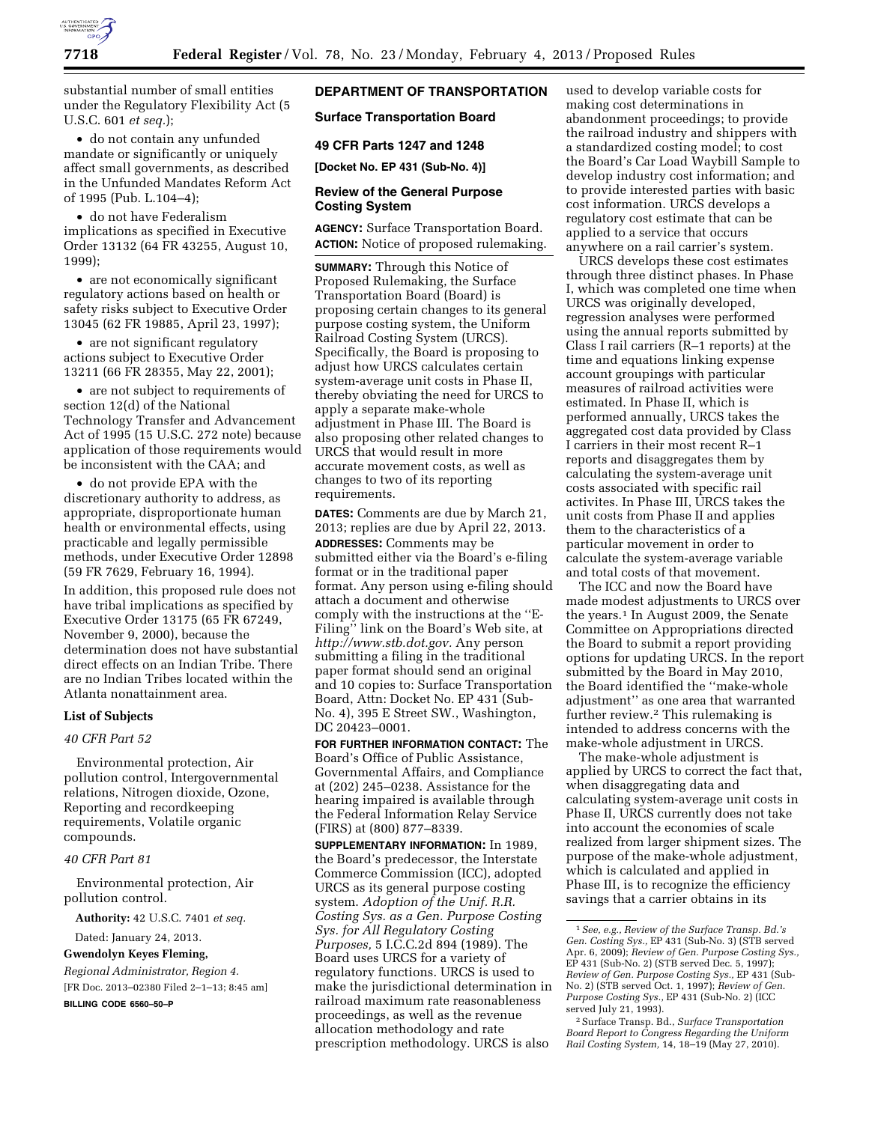

substantial number of small entities under the Regulatory Flexibility Act (5 U.S.C. 601 *et seq.*);

• do not contain any unfunded mandate or significantly or uniquely affect small governments, as described in the Unfunded Mandates Reform Act of 1995 (Pub. L.104–4);

• do not have Federalism implications as specified in Executive Order 13132 (64 FR 43255, August 10, 1999);

• are not economically significant regulatory actions based on health or safety risks subject to Executive Order 13045 (62 FR 19885, April 23, 1997);

• are not significant regulatory actions subject to Executive Order 13211 (66 FR 28355, May 22, 2001);

• are not subject to requirements of section 12(d) of the National Technology Transfer and Advancement Act of 1995 (15 U.S.C. 272 note) because application of those requirements would be inconsistent with the CAA; and

• do not provide EPA with the discretionary authority to address, as appropriate, disproportionate human health or environmental effects, using practicable and legally permissible methods, under Executive Order 12898 (59 FR 7629, February 16, 1994).

In addition, this proposed rule does not have tribal implications as specified by Executive Order 13175 (65 FR 67249, November 9, 2000), because the determination does not have substantial direct effects on an Indian Tribe. There are no Indian Tribes located within the Atlanta nonattainment area.

#### **List of Subjects**

# *40 CFR Part 52*

Environmental protection, Air pollution control, Intergovernmental relations, Nitrogen dioxide, Ozone, Reporting and recordkeeping requirements, Volatile organic compounds.

#### *40 CFR Part 81*

Environmental protection, Air pollution control.

**Authority:** 42 U.S.C. 7401 *et seq.* 

Dated: January 24, 2013.

**Gwendolyn Keyes Fleming,** 

*Regional Administrator, Region 4.*  [FR Doc. 2013–02380 Filed 2–1–13; 8:45 am]

**BILLING CODE 6560–50–P** 

# **DEPARTMENT OF TRANSPORTATION**

# **Surface Transportation Board**

#### **49 CFR Parts 1247 and 1248**

**[Docket No. EP 431 (Sub-No. 4)]** 

## **Review of the General Purpose Costing System**

**AGENCY:** Surface Transportation Board. **ACTION:** Notice of proposed rulemaking.

**SUMMARY:** Through this Notice of Proposed Rulemaking, the Surface Transportation Board (Board) is proposing certain changes to its general purpose costing system, the Uniform Railroad Costing System (URCS). Specifically, the Board is proposing to adjust how URCS calculates certain system-average unit costs in Phase II, thereby obviating the need for URCS to apply a separate make-whole adjustment in Phase III. The Board is also proposing other related changes to URCS that would result in more accurate movement costs, as well as changes to two of its reporting requirements.

**DATES:** Comments are due by March 21, 2013; replies are due by April 22, 2013. **ADDRESSES:** Comments may be submitted either via the Board's e-filing format or in the traditional paper format. Any person using e-filing should attach a document and otherwise comply with the instructions at the ''E-Filing'' link on the Board's Web site, at *[http://www.stb.dot.gov.](http://www.stb.dot.gov)* Any person submitting a filing in the traditional paper format should send an original and 10 copies to: Surface Transportation Board, Attn: Docket No. EP 431 (Sub-No. 4), 395 E Street SW., Washington, DC 20423–0001.

**FOR FURTHER INFORMATION CONTACT:** The Board's Office of Public Assistance, Governmental Affairs, and Compliance at (202) 245–0238. Assistance for the hearing impaired is available through the Federal Information Relay Service (FIRS) at (800) 877–8339.

**SUPPLEMENTARY INFORMATION:** In 1989, the Board's predecessor, the Interstate Commerce Commission (ICC), adopted URCS as its general purpose costing system. *Adoption of the Unif. R.R. Costing Sys. as a Gen. Purpose Costing Sys. for All Regulatory Costing Purposes,* 5 I.C.C.2d 894 (1989). The Board uses URCS for a variety of regulatory functions. URCS is used to make the jurisdictional determination in railroad maximum rate reasonableness proceedings, as well as the revenue allocation methodology and rate prescription methodology. URCS is also

used to develop variable costs for making cost determinations in abandonment proceedings; to provide the railroad industry and shippers with a standardized costing model; to cost the Board's Car Load Waybill Sample to develop industry cost information; and to provide interested parties with basic cost information. URCS develops a regulatory cost estimate that can be applied to a service that occurs anywhere on a rail carrier's system.

URCS develops these cost estimates through three distinct phases. In Phase I, which was completed one time when URCS was originally developed, regression analyses were performed using the annual reports submitted by Class I rail carriers (R–1 reports) at the time and equations linking expense account groupings with particular measures of railroad activities were estimated. In Phase II, which is performed annually, URCS takes the aggregated cost data provided by Class I carriers in their most recent R–1 reports and disaggregates them by calculating the system-average unit costs associated with specific rail activites. In Phase III, URCS takes the unit costs from Phase II and applies them to the characteristics of a particular movement in order to calculate the system-average variable and total costs of that movement.

The ICC and now the Board have made modest adjustments to URCS over the years.1 In August 2009, the Senate Committee on Appropriations directed the Board to submit a report providing options for updating URCS. In the report submitted by the Board in May 2010, the Board identified the ''make-whole adjustment'' as one area that warranted further review.2 This rulemaking is intended to address concerns with the make-whole adjustment in URCS.

The make-whole adjustment is applied by URCS to correct the fact that, when disaggregating data and calculating system-average unit costs in Phase II, URCS currently does not take into account the economies of scale realized from larger shipment sizes. The purpose of the make-whole adjustment, which is calculated and applied in Phase III, is to recognize the efficiency savings that a carrier obtains in its

<sup>1</sup>*See, e.g., Review of the Surface Transp. Bd.'s Gen. Costing Sys.,* EP 431 (Sub-No. 3) (STB served Apr. 6, 2009); *Review of Gen. Purpose Costing Sys.,*  EP 431 (Sub-No. 2) (STB served Dec. 5, 1997); *Review of Gen. Purpose Costing Sys.,* EP 431 (Sub-No. 2) (STB served Oct. 1, 1997); *Review of Gen. Purpose Costing Sys.,* EP 431 (Sub-No. 2) (ICC served July 21, 1993).

<sup>2</sup>Surface Transp. Bd., *Surface Transportation Board Report to Congress Regarding the Uniform Rail Costing System,* 14, 18–19 (May 27, 2010).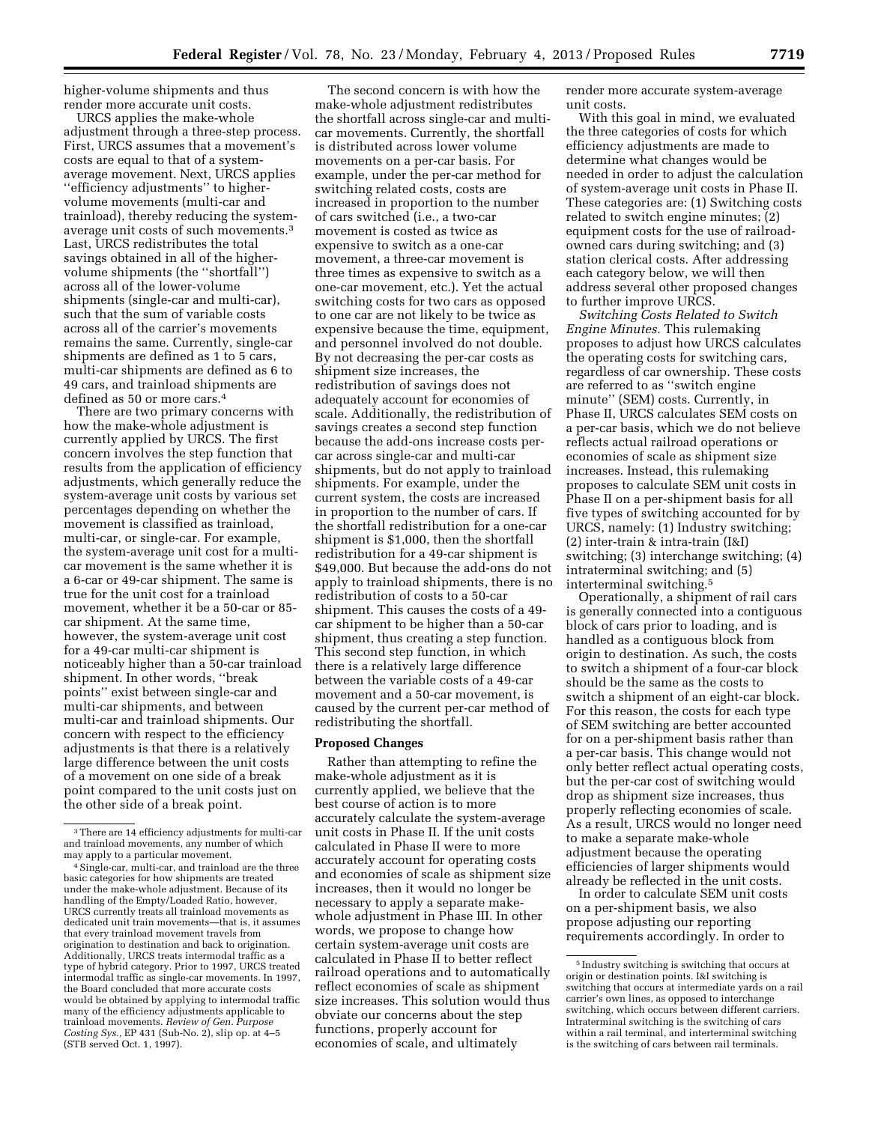higher-volume shipments and thus render more accurate unit costs.

URCS applies the make-whole adjustment through a three-step process. First, URCS assumes that a movement's costs are equal to that of a systemaverage movement. Next, URCS applies ''efficiency adjustments'' to highervolume movements (multi-car and trainload), thereby reducing the systemaverage unit costs of such movements.3 Last, URCS redistributes the total savings obtained in all of the highervolume shipments (the ''shortfall'') across all of the lower-volume shipments (single-car and multi-car), such that the sum of variable costs across all of the carrier's movements remains the same. Currently, single-car shipments are defined as 1 to 5 cars, multi-car shipments are defined as 6 to 49 cars, and trainload shipments are defined as 50 or more cars.4

There are two primary concerns with how the make-whole adjustment is currently applied by URCS. The first concern involves the step function that results from the application of efficiency adjustments, which generally reduce the system-average unit costs by various set percentages depending on whether the movement is classified as trainload, multi-car, or single-car. For example, the system-average unit cost for a multicar movement is the same whether it is a 6-car or 49-car shipment. The same is true for the unit cost for a trainload movement, whether it be a 50-car or 85 car shipment. At the same time, however, the system-average unit cost for a 49-car multi-car shipment is noticeably higher than a 50-car trainload shipment. In other words, ''break points'' exist between single-car and multi-car shipments, and between multi-car and trainload shipments. Our concern with respect to the efficiency adjustments is that there is a relatively large difference between the unit costs of a movement on one side of a break point compared to the unit costs just on the other side of a break point.

The second concern is with how the make-whole adjustment redistributes the shortfall across single-car and multicar movements. Currently, the shortfall is distributed across lower volume movements on a per-car basis. For example, under the per-car method for switching related costs, costs are increased in proportion to the number of cars switched (i.e., a two-car movement is costed as twice as expensive to switch as a one-car movement, a three-car movement is three times as expensive to switch as a one-car movement, etc.). Yet the actual switching costs for two cars as opposed to one car are not likely to be twice as expensive because the time, equipment, and personnel involved do not double. By not decreasing the per-car costs as shipment size increases, the redistribution of savings does not adequately account for economies of scale. Additionally, the redistribution of savings creates a second step function because the add-ons increase costs percar across single-car and multi-car shipments, but do not apply to trainload shipments. For example, under the current system, the costs are increased in proportion to the number of cars. If the shortfall redistribution for a one-car shipment is \$1,000, then the shortfall redistribution for a 49-car shipment is \$49,000. But because the add-ons do not apply to trainload shipments, there is no redistribution of costs to a 50-car shipment. This causes the costs of a 49 car shipment to be higher than a 50-car shipment, thus creating a step function. This second step function, in which there is a relatively large difference between the variable costs of a 49-car movement and a 50-car movement, is caused by the current per-car method of redistributing the shortfall.

#### **Proposed Changes**

Rather than attempting to refine the make-whole adjustment as it is currently applied, we believe that the best course of action is to more accurately calculate the system-average unit costs in Phase II. If the unit costs calculated in Phase II were to more accurately account for operating costs and economies of scale as shipment size increases, then it would no longer be necessary to apply a separate makewhole adjustment in Phase III. In other words, we propose to change how certain system-average unit costs are calculated in Phase II to better reflect railroad operations and to automatically reflect economies of scale as shipment size increases. This solution would thus obviate our concerns about the step functions, properly account for economies of scale, and ultimately

render more accurate system-average unit costs.

With this goal in mind, we evaluated the three categories of costs for which efficiency adjustments are made to determine what changes would be needed in order to adjust the calculation of system-average unit costs in Phase II. These categories are: (1) Switching costs related to switch engine minutes; (2) equipment costs for the use of railroadowned cars during switching; and (3) station clerical costs. After addressing each category below, we will then address several other proposed changes to further improve URCS.

*Switching Costs Related to Switch Engine Minutes.* This rulemaking proposes to adjust how URCS calculates the operating costs for switching cars, regardless of car ownership. These costs are referred to as ''switch engine minute'' (SEM) costs. Currently, in Phase II, URCS calculates SEM costs on a per-car basis, which we do not believe reflects actual railroad operations or economies of scale as shipment size increases. Instead, this rulemaking proposes to calculate SEM unit costs in Phase II on a per-shipment basis for all five types of switching accounted for by URCS, namely: (1) Industry switching; (2) inter-train & intra-train (I&I) switching; (3) interchange switching; (4) intraterminal switching; and (5) interterminal switching.5

Operationally, a shipment of rail cars is generally connected into a contiguous block of cars prior to loading, and is handled as a contiguous block from origin to destination. As such, the costs to switch a shipment of a four-car block should be the same as the costs to switch a shipment of an eight-car block. For this reason, the costs for each type of SEM switching are better accounted for on a per-shipment basis rather than a per-car basis. This change would not only better reflect actual operating costs, but the per-car cost of switching would drop as shipment size increases, thus properly reflecting economies of scale. As a result, URCS would no longer need to make a separate make-whole adjustment because the operating efficiencies of larger shipments would already be reflected in the unit costs.

In order to calculate SEM unit costs on a per-shipment basis, we also propose adjusting our reporting requirements accordingly. In order to

<sup>3</sup>There are 14 efficiency adjustments for multi-car and trainload movements, any number of which

<sup>&</sup>lt;sup>4</sup> Single-car, multi-car, and trainload are the three basic categories for how shipments are treated under the make-whole adjustment. Because of its handling of the Empty/Loaded Ratio, however, URCS currently treats all trainload movements as dedicated unit train movements—that is, it assumes that every trainload movement travels from origination to destination and back to origination. Additionally, URCS treats intermodal traffic as a type of hybrid category. Prior to 1997, URCS treated intermodal traffic as single-car movements. In 1997, the Board concluded that more accurate costs would be obtained by applying to intermodal traffic many of the efficiency adjustments applicable to trainload movements. *Review of Gen. Purpose Costing Sys.,* EP 431 (Sub-No. 2), slip op. at 4–5 (STB served Oct. 1, 1997).

<sup>5</sup> Industry switching is switching that occurs at origin or destination points. I&I switching is switching that occurs at intermediate yards on a rail carrier's own lines, as opposed to interchange switching, which occurs between different carriers. Intraterminal switching is the switching of cars within a rail terminal, and interterminal switching is the switching of cars between rail terminals.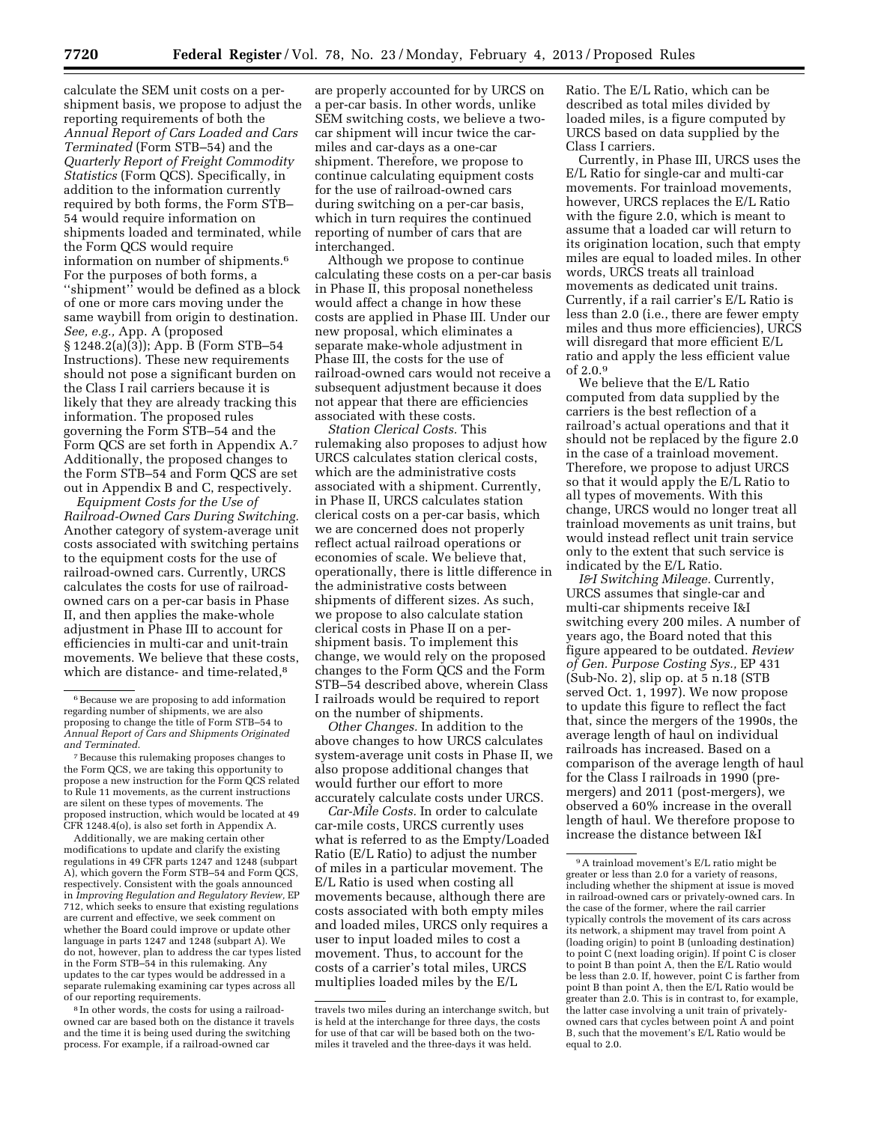calculate the SEM unit costs on a pershipment basis, we propose to adjust the reporting requirements of both the *Annual Report of Cars Loaded and Cars Terminated* (Form STB–54) and the *Quarterly Report of Freight Commodity Statistics* (Form QCS). Specifically, in addition to the information currently required by both forms, the Form STB– 54 would require information on shipments loaded and terminated, while the Form QCS would require information on number of shipments.6 For the purposes of both forms, a ''shipment'' would be defined as a block of one or more cars moving under the same waybill from origin to destination. *See, e.g.,* App. A (proposed § 1248.2(a)(3)); App. B (Form STB–54 Instructions). These new requirements should not pose a significant burden on the Class I rail carriers because it is likely that they are already tracking this information. The proposed rules governing the Form STB–54 and the Form QCS are set forth in Appendix A.7 Additionally, the proposed changes to the Form STB–54 and Form QCS are set out in Appendix B and C, respectively.

*Equipment Costs for the Use of Railroad-Owned Cars During Switching.*  Another category of system-average unit costs associated with switching pertains to the equipment costs for the use of railroad-owned cars. Currently, URCS calculates the costs for use of railroadowned cars on a per-car basis in Phase II, and then applies the make-whole adjustment in Phase III to account for efficiencies in multi-car and unit-train movements. We believe that these costs, which are distance- and time-related,<sup>8</sup>

Additionally, we are making certain other modifications to update and clarify the existing regulations in 49 CFR parts 1247 and 1248 (subpart A), which govern the Form STB–54 and Form QCS, respectively. Consistent with the goals announced in *Improving Regulation and Regulatory Review,* EP 712, which seeks to ensure that existing regulations are current and effective, we seek comment on whether the Board could improve or update other language in parts 1247 and 1248 (subpart A). We do not, however, plan to address the car types listed in the Form STB–54 in this rulemaking. Any updates to the car types would be addressed in a separate rulemaking examining car types across all of our reporting requirements.

8 In other words, the costs for using a railroadowned car are based both on the distance it travels and the time it is being used during the switching process. For example, if a railroad-owned car

are properly accounted for by URCS on a per-car basis. In other words, unlike SEM switching costs, we believe a twocar shipment will incur twice the carmiles and car-days as a one-car shipment. Therefore, we propose to continue calculating equipment costs for the use of railroad-owned cars during switching on a per-car basis, which in turn requires the continued reporting of number of cars that are interchanged.

Although we propose to continue calculating these costs on a per-car basis in Phase II, this proposal nonetheless would affect a change in how these costs are applied in Phase III. Under our new proposal, which eliminates a separate make-whole adjustment in Phase III, the costs for the use of railroad-owned cars would not receive a subsequent adjustment because it does not appear that there are efficiencies associated with these costs.

*Station Clerical Costs.* This rulemaking also proposes to adjust how URCS calculates station clerical costs, which are the administrative costs associated with a shipment. Currently, in Phase II, URCS calculates station clerical costs on a per-car basis, which we are concerned does not properly reflect actual railroad operations or economies of scale. We believe that, operationally, there is little difference in the administrative costs between shipments of different sizes. As such, we propose to also calculate station clerical costs in Phase II on a pershipment basis. To implement this change, we would rely on the proposed changes to the Form QCS and the Form STB–54 described above, wherein Class I railroads would be required to report on the number of shipments.

*Other Changes.* In addition to the above changes to how URCS calculates system-average unit costs in Phase II, we also propose additional changes that would further our effort to more accurately calculate costs under URCS.

*Car-Mile Costs.* In order to calculate car-mile costs, URCS currently uses what is referred to as the Empty/Loaded Ratio (E/L Ratio) to adjust the number of miles in a particular movement. The E/L Ratio is used when costing all movements because, although there are costs associated with both empty miles and loaded miles, URCS only requires a user to input loaded miles to cost a movement. Thus, to account for the costs of a carrier's total miles, URCS multiplies loaded miles by the E/L

Ratio. The E/L Ratio, which can be described as total miles divided by loaded miles, is a figure computed by URCS based on data supplied by the Class I carriers.

Currently, in Phase III, URCS uses the E/L Ratio for single-car and multi-car movements. For trainload movements, however, URCS replaces the E/L Ratio with the figure 2.0, which is meant to assume that a loaded car will return to its origination location, such that empty miles are equal to loaded miles. In other words, URCS treats all trainload movements as dedicated unit trains. Currently, if a rail carrier's E/L Ratio is less than 2.0 (i.e., there are fewer empty miles and thus more efficiencies), URCS will disregard that more efficient E/L ratio and apply the less efficient value of 2.0.9

We believe that the E/L Ratio computed from data supplied by the carriers is the best reflection of a railroad's actual operations and that it should not be replaced by the figure 2.0 in the case of a trainload movement. Therefore, we propose to adjust URCS so that it would apply the E/L Ratio to all types of movements. With this change, URCS would no longer treat all trainload movements as unit trains, but would instead reflect unit train service only to the extent that such service is indicated by the E/L Ratio.

*I&I Switching Mileage.* Currently, URCS assumes that single-car and multi-car shipments receive I&I switching every 200 miles. A number of years ago, the Board noted that this figure appeared to be outdated. *Review of Gen. Purpose Costing Sys.,* EP 431 (Sub-No. 2), slip op. at 5 n.18 (STB served Oct. 1, 1997). We now propose to update this figure to reflect the fact that, since the mergers of the 1990s, the average length of haul on individual railroads has increased. Based on a comparison of the average length of haul for the Class I railroads in 1990 (premergers) and 2011 (post-mergers), we observed a 60% increase in the overall length of haul. We therefore propose to increase the distance between I&I

<sup>6</sup>Because we are proposing to add information regarding number of shipments, we are also proposing to change the title of Form STB–54 to *Annual Report of Cars and Shipments Originated and Terminated.* 

<sup>7</sup>Because this rulemaking proposes changes to the Form QCS, we are taking this opportunity to propose a new instruction for the Form QCS related to Rule 11 movements, as the current instructions are silent on these types of movements. The proposed instruction, which would be located at 49 CFR 1248.4(o), is also set forth in Appendix A.

travels two miles during an interchange switch, but is held at the interchange for three days, the costs for use of that car will be based both on the twomiles it traveled and the three-days it was held.

<sup>9</sup>A trainload movement's E/L ratio might be greater or less than 2.0 for a variety of reasons, including whether the shipment at issue is moved in railroad-owned cars or privately-owned cars. In the case of the former, where the rail carrier typically controls the movement of its cars across its network, a shipment may travel from point A (loading origin) to point B (unloading destination) to point C (next loading origin). If point C is closer to point B than point A, then the E/L Ratio would be less than 2.0. If, however, point C is farther from point B than point A, then the E/L Ratio would be greater than 2.0. This is in contrast to, for example, the latter case involving a unit train of privatelyowned cars that cycles between point A and point B, such that the movement's E/L Ratio would be equal to 2.0.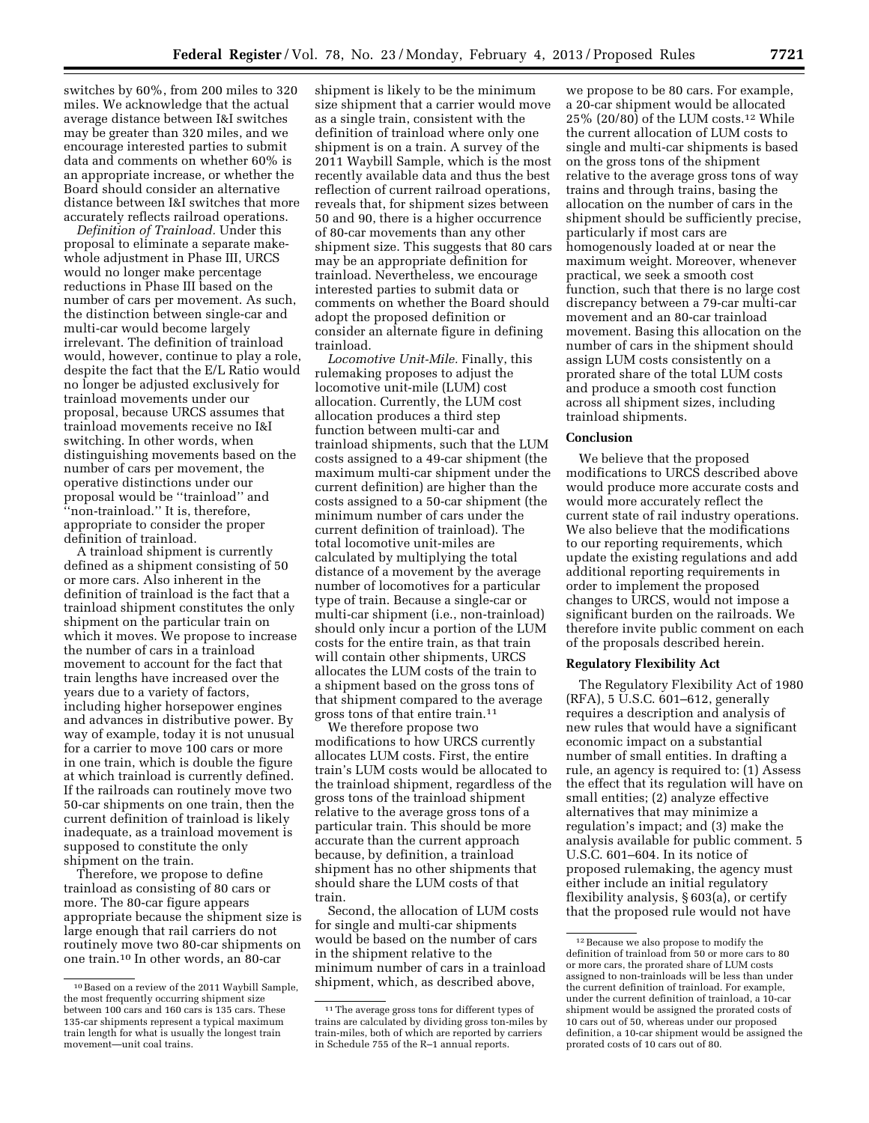switches by 60%, from 200 miles to 320 miles. We acknowledge that the actual average distance between I&I switches may be greater than 320 miles, and we encourage interested parties to submit data and comments on whether 60% is an appropriate increase, or whether the Board should consider an alternative distance between I&I switches that more accurately reflects railroad operations.

*Definition of Trainload.* Under this proposal to eliminate a separate makewhole adjustment in Phase III, URCS would no longer make percentage reductions in Phase III based on the number of cars per movement. As such, the distinction between single-car and multi-car would become largely irrelevant. The definition of trainload would, however, continue to play a role, despite the fact that the E/L Ratio would no longer be adjusted exclusively for trainload movements under our proposal, because URCS assumes that trainload movements receive no I&I switching. In other words, when distinguishing movements based on the number of cars per movement, the operative distinctions under our proposal would be ''trainload'' and ''non-trainload.'' It is, therefore, appropriate to consider the proper definition of trainload.

A trainload shipment is currently defined as a shipment consisting of 50 or more cars. Also inherent in the definition of trainload is the fact that a trainload shipment constitutes the only shipment on the particular train on which it moves. We propose to increase the number of cars in a trainload movement to account for the fact that train lengths have increased over the years due to a variety of factors, including higher horsepower engines and advances in distributive power. By way of example, today it is not unusual for a carrier to move 100 cars or more in one train, which is double the figure at which trainload is currently defined. If the railroads can routinely move two 50-car shipments on one train, then the current definition of trainload is likely inadequate, as a trainload movement is supposed to constitute the only shipment on the train.

Therefore, we propose to define trainload as consisting of 80 cars or more. The 80-car figure appears appropriate because the shipment size is large enough that rail carriers do not routinely move two 80-car shipments on one train.10 In other words, an 80-car

shipment is likely to be the minimum size shipment that a carrier would move as a single train, consistent with the definition of trainload where only one shipment is on a train. A survey of the 2011 Waybill Sample, which is the most recently available data and thus the best reflection of current railroad operations, reveals that, for shipment sizes between 50 and 90, there is a higher occurrence of 80-car movements than any other shipment size. This suggests that 80 cars may be an appropriate definition for trainload. Nevertheless, we encourage interested parties to submit data or comments on whether the Board should adopt the proposed definition or consider an alternate figure in defining trainload.

*Locomotive Unit-Mile.* Finally, this rulemaking proposes to adjust the locomotive unit-mile (LUM) cost allocation. Currently, the LUM cost allocation produces a third step function between multi-car and trainload shipments, such that the LUM costs assigned to a 49-car shipment (the maximum multi-car shipment under the current definition) are higher than the costs assigned to a 50-car shipment (the minimum number of cars under the current definition of trainload). The total locomotive unit-miles are calculated by multiplying the total distance of a movement by the average number of locomotives for a particular type of train. Because a single-car or multi-car shipment (i.e., non-trainload) should only incur a portion of the LUM costs for the entire train, as that train will contain other shipments, URCS allocates the LUM costs of the train to a shipment based on the gross tons of that shipment compared to the average gross tons of that entire train.11

We therefore propose two modifications to how URCS currently allocates LUM costs. First, the entire train's LUM costs would be allocated to the trainload shipment, regardless of the gross tons of the trainload shipment relative to the average gross tons of a particular train. This should be more accurate than the current approach because, by definition, a trainload shipment has no other shipments that should share the LUM costs of that train.

Second, the allocation of LUM costs for single and multi-car shipments would be based on the number of cars in the shipment relative to the minimum number of cars in a trainload shipment, which, as described above,

we propose to be 80 cars. For example, a 20-car shipment would be allocated 25% (20/80) of the LUM costs.12 While the current allocation of LUM costs to single and multi-car shipments is based on the gross tons of the shipment relative to the average gross tons of way trains and through trains, basing the allocation on the number of cars in the shipment should be sufficiently precise, particularly if most cars are homogenously loaded at or near the maximum weight. Moreover, whenever practical, we seek a smooth cost function, such that there is no large cost discrepancy between a 79-car multi-car movement and an 80-car trainload movement. Basing this allocation on the number of cars in the shipment should assign LUM costs consistently on a prorated share of the total LUM costs and produce a smooth cost function across all shipment sizes, including trainload shipments.

#### **Conclusion**

We believe that the proposed modifications to URCS described above would produce more accurate costs and would more accurately reflect the current state of rail industry operations. We also believe that the modifications to our reporting requirements, which update the existing regulations and add additional reporting requirements in order to implement the proposed changes to URCS, would not impose a significant burden on the railroads. We therefore invite public comment on each of the proposals described herein.

#### **Regulatory Flexibility Act**

The Regulatory Flexibility Act of 1980 (RFA), 5 U.S.C. 601–612, generally requires a description and analysis of new rules that would have a significant economic impact on a substantial number of small entities. In drafting a rule, an agency is required to: (1) Assess the effect that its regulation will have on small entities; (2) analyze effective alternatives that may minimize a regulation's impact; and (3) make the analysis available for public comment. 5 U.S.C. 601–604. In its notice of proposed rulemaking, the agency must either include an initial regulatory flexibility analysis, § 603(a), or certify that the proposed rule would not have

<sup>10</sup>Based on a review of the 2011 Waybill Sample, the most frequently occurring shipment size between 100 cars and 160 cars is 135 cars. These 135-car shipments represent a typical maximum train length for what is usually the longest train movement—unit coal trains.

<sup>11</sup>The average gross tons for different types of trains are calculated by dividing gross ton-miles by train-miles, both of which are reported by carriers in Schedule 755 of the R–1 annual reports.

<sup>12</sup>Because we also propose to modify the definition of trainload from 50 or more cars to 80 or more cars, the prorated share of LUM costs assigned to non-trainloads will be less than under the current definition of trainload. For example, under the current definition of trainload, a 10-car shipment would be assigned the prorated costs of 10 cars out of 50, whereas under our proposed definition, a 10-car shipment would be assigned the prorated costs of 10 cars out of 80.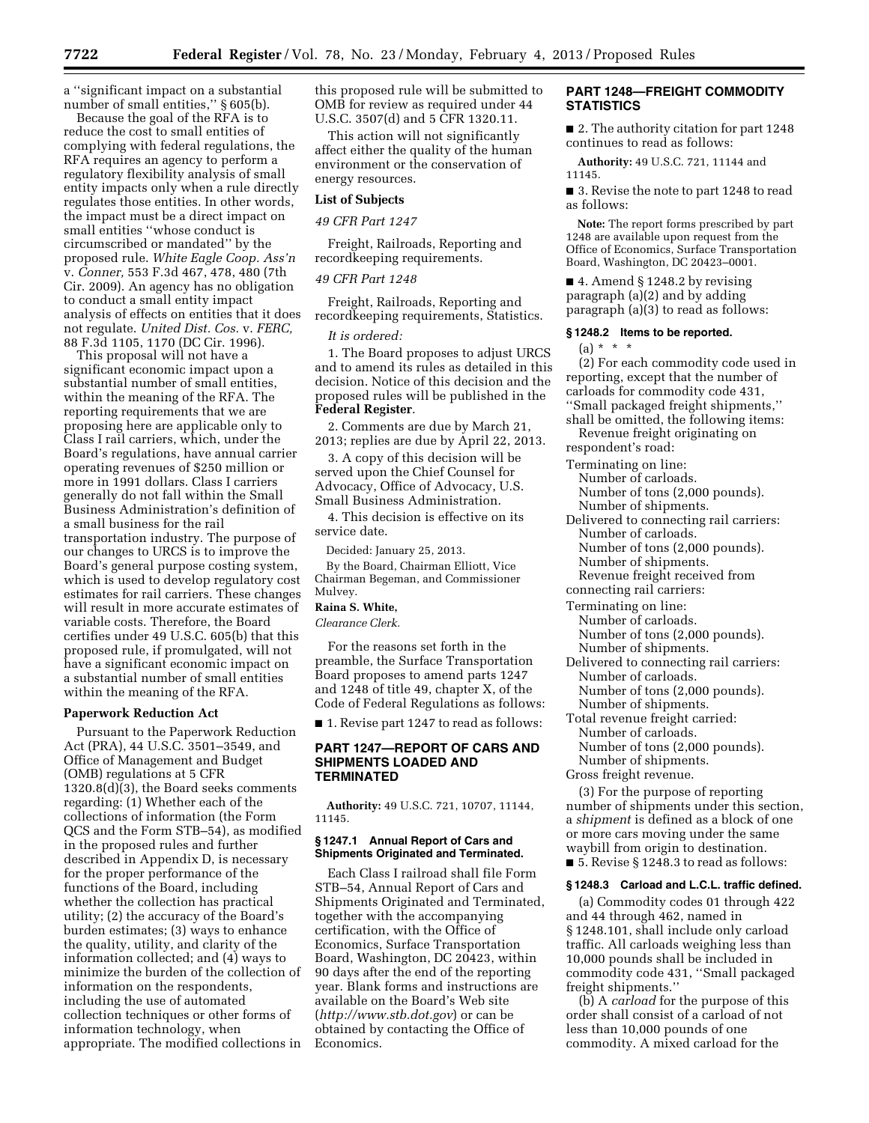a ''significant impact on a substantial number of small entities," § 605(b).

Because the goal of the RFA is to reduce the cost to small entities of complying with federal regulations, the RFA requires an agency to perform a regulatory flexibility analysis of small entity impacts only when a rule directly regulates those entities. In other words, the impact must be a direct impact on small entities ''whose conduct is circumscribed or mandated'' by the proposed rule. *White Eagle Coop. Ass'n*  v. *Conner,* 553 F.3d 467, 478, 480 (7th Cir. 2009). An agency has no obligation to conduct a small entity impact analysis of effects on entities that it does not regulate. *United Dist. Cos.* v. *FERC,*  88 F.3d 1105, 1170 (DC Cir. 1996).

This proposal will not have a significant economic impact upon a substantial number of small entities, within the meaning of the RFA. The reporting requirements that we are proposing here are applicable only to Class I rail carriers, which, under the Board's regulations, have annual carrier operating revenues of \$250 million or more in 1991 dollars. Class I carriers generally do not fall within the Small Business Administration's definition of a small business for the rail transportation industry. The purpose of our changes to URCS is to improve the Board's general purpose costing system, which is used to develop regulatory cost estimates for rail carriers. These changes will result in more accurate estimates of variable costs. Therefore, the Board certifies under 49 U.S.C. 605(b) that this proposed rule, if promulgated, will not have a significant economic impact on a substantial number of small entities within the meaning of the RFA.

#### **Paperwork Reduction Act**

Pursuant to the Paperwork Reduction Act (PRA), 44 U.S.C. 3501–3549, and Office of Management and Budget (OMB) regulations at 5 CFR 1320.8(d)(3), the Board seeks comments regarding: (1) Whether each of the collections of information (the Form QCS and the Form STB–54), as modified in the proposed rules and further described in Appendix D, is necessary for the proper performance of the functions of the Board, including whether the collection has practical utility; (2) the accuracy of the Board's burden estimates; (3) ways to enhance the quality, utility, and clarity of the information collected; and (4) ways to minimize the burden of the collection of information on the respondents, including the use of automated collection techniques or other forms of information technology, when appropriate. The modified collections in this proposed rule will be submitted to OMB for review as required under 44 U.S.C. 3507(d) and 5 CFR 1320.11.

This action will not significantly affect either the quality of the human environment or the conservation of energy resources.

### **List of Subjects**

### *49 CFR Part 1247*

Freight, Railroads, Reporting and recordkeeping requirements.

#### *49 CFR Part 1248*

Freight, Railroads, Reporting and recordkeeping requirements, Statistics.

#### *It is ordered:*

1. The Board proposes to adjust URCS and to amend its rules as detailed in this decision. Notice of this decision and the proposed rules will be published in the **Federal Register**.

2. Comments are due by March 21, 2013; replies are due by April 22, 2013.

3. A copy of this decision will be served upon the Chief Counsel for Advocacy, Office of Advocacy, U.S. Small Business Administration.

4. This decision is effective on its service date.

Decided: January 25, 2013.

By the Board, Chairman Elliott, Vice Chairman Begeman, and Commissioner Mulvey.

# **Raina S. White,**

*Clearance Clerk.* 

For the reasons set forth in the preamble, the Surface Transportation Board proposes to amend parts 1247 and 1248 of title 49, chapter X, of the Code of Federal Regulations as follows:

■ 1. Revise part 1247 to read as follows:

# **PART 1247—REPORT OF CARS AND SHIPMENTS LOADED AND TERMINATED**

**Authority:** 49 U.S.C. 721, 10707, 11144, 11145.

#### **§ 1247.1 Annual Report of Cars and Shipments Originated and Terminated.**

Each Class I railroad shall file Form STB–54, Annual Report of Cars and Shipments Originated and Terminated, together with the accompanying certification, with the Office of Economics, Surface Transportation Board, Washington, DC 20423, within 90 days after the end of the reporting year. Blank forms and instructions are available on the Board's Web site (*<http://www.stb.dot.gov>*) or can be obtained by contacting the Office of Economics.

# **PART 1248—FREIGHT COMMODITY STATISTICS**

■ 2. The authority citation for part 1248 continues to read as follows:

**Authority:** 49 U.S.C. 721, 11144 and 11145.

■ 3. Revise the note to part 1248 to read as follows:

**Note:** The report forms prescribed by part 1248 are available upon request from the Office of Economics, Surface Transportation Board, Washington, DC 20423–0001.

■ 4. Amend § 1248.2 by revising paragraph (a)(2) and by adding paragraph (a)(3) to read as follows:

#### **§ 1248.2 Items to be reported.**

 $(a) * * * *$ 

(2) For each commodity code used in reporting, except that the number of carloads for commodity code 431, ''Small packaged freight shipments,'' shall be omitted, the following items:

Revenue freight originating on respondent's road:

Terminating on line:

Number of carloads. Number of tons (2,000 pounds). Number of shipments.

Delivered to connecting rail carriers: Number of carloads. Number of tons (2,000 pounds).

Number of shipments.

Revenue freight received from

- connecting rail carriers:
- Terminating on line:

Number of carloads. Number of tons (2,000 pounds).

- Number of shipments.
- Delivered to connecting rail carriers: Number of carloads. Number of tons (2,000 pounds).
	- Number of shipments.
- Total revenue freight carried: Number of carloads. Number of tons (2,000 pounds).
- Number of shipments.

Gross freight revenue.

(3) For the purpose of reporting number of shipments under this section, a *shipment* is defined as a block of one or more cars moving under the same waybill from origin to destination. ■ 5. Revise § 1248.3 to read as follows:

#### **§ 1248.3 Carload and L.C.L. traffic defined.**

(a) Commodity codes 01 through 422 and 44 through 462, named in § 1248.101, shall include only carload traffic. All carloads weighing less than 10,000 pounds shall be included in commodity code 431, ''Small packaged freight shipments.''

(b) A *carload* for the purpose of this order shall consist of a carload of not less than 10,000 pounds of one commodity. A mixed carload for the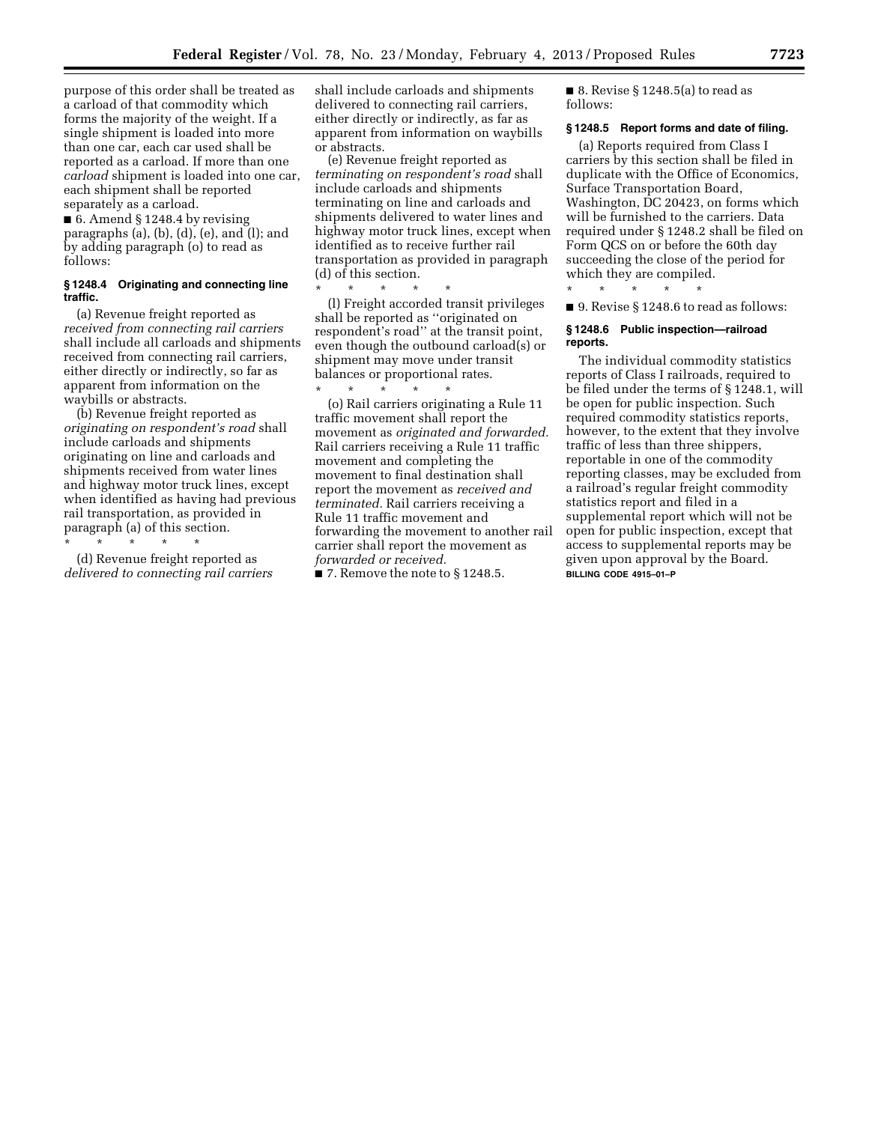purpose of this order shall be treated as a carload of that commodity which forms the majority of the weight. If a single shipment is loaded into more than one car, each car used shall be reported as a carload. If more than one *carload* shipment is loaded into one car, each shipment shall be reported separately as a carload.

■ 6. Amend § 1248.4 by revising paragraphs (a), (b), (d), (e), and (l); and by adding paragraph (o) to read as follows:

#### **§ 1248.4 Originating and connecting line traffic.**

(a) Revenue freight reported as *received from connecting rail carriers*  shall include all carloads and shipments received from connecting rail carriers, either directly or indirectly, so far as apparent from information on the waybills or abstracts.

(b) Revenue freight reported as *originating on respondent's road* shall include carloads and shipments originating on line and carloads and shipments received from water lines and highway motor truck lines, except when identified as having had previous rail transportation, as provided in paragraph (a) of this section.

\* \* \* \* \* (d) Revenue freight reported as *delivered to connecting rail carriers* 

shall include carloads and shipments delivered to connecting rail carriers, either directly or indirectly, as far as apparent from information on waybills or abstracts.

(e) Revenue freight reported as *terminating on respondent's road* shall include carloads and shipments terminating on line and carloads and shipments delivered to water lines and highway motor truck lines, except when identified as to receive further rail transportation as provided in paragraph (d) of this section.

\* \* \* \* \* (l) Freight accorded transit privileges shall be reported as ''originated on respondent's road'' at the transit point, even though the outbound carload(s) or shipment may move under transit balances or proportional rates.

\* \* \* \* \* (o) Rail carriers originating a Rule 11 traffic movement shall report the movement as *originated and forwarded.*  Rail carriers receiving a Rule 11 traffic movement and completing the movement to final destination shall report the movement as *received and terminated.* Rail carriers receiving a Rule 11 traffic movement and forwarding the movement to another rail carrier shall report the movement as *forwarded or received.* 

 $\blacksquare$  7. Remove the note to § 1248.5.

 $\blacksquare$  8. Revise § 1248.5(a) to read as follows:

#### **§ 1248.5 Report forms and date of filing.**

(a) Reports required from Class I carriers by this section shall be filed in duplicate with the Office of Economics, Surface Transportation Board, Washington, DC 20423, on forms which will be furnished to the carriers. Data required under § 1248.2 shall be filed on Form QCS on or before the 60th day succeeding the close of the period for which they are compiled.

\* \* \* \* \*

■ 9. Revise § 1248.6 to read as follows:

#### **§ 1248.6 Public inspection—railroad reports.**

The individual commodity statistics reports of Class I railroads, required to be filed under the terms of § 1248.1, will be open for public inspection. Such required commodity statistics reports, however, to the extent that they involve traffic of less than three shippers, reportable in one of the commodity reporting classes, may be excluded from a railroad's regular freight commodity statistics report and filed in a supplemental report which will not be open for public inspection, except that access to supplemental reports may be given upon approval by the Board. **BILLING CODE 4915–01–P**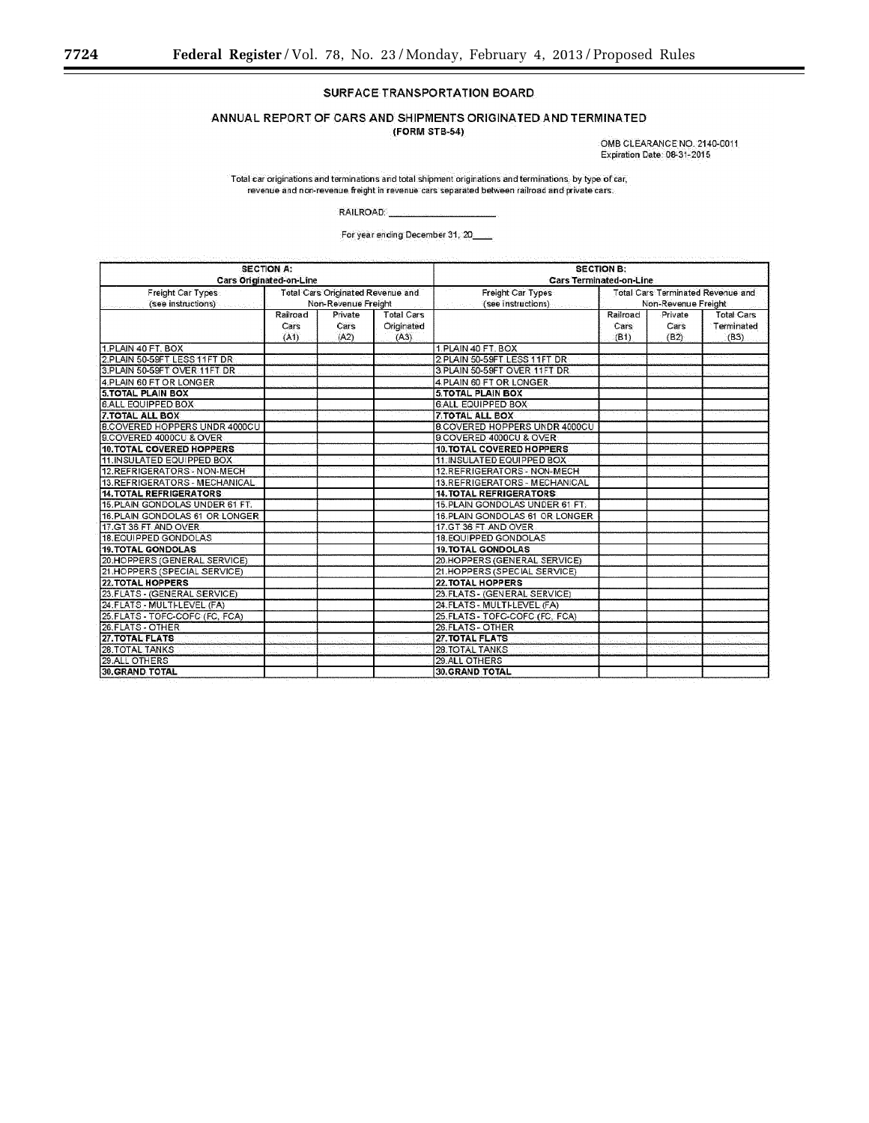# SURFACE TRANSPORTATION BOARD

ANNUAL REPORT OF CARS AND SHIPMENTS ORIGINATED AND TERMINATED

(FORM STB-54)

OMB CLEARANCE NO. 2140-0011 Expiration Date: 08-31-2015

Total car originations and terminations and total shipment originations and terminations, by type of car, revenue and non-revenue freight in revenue cars separated between railroad and private cars.

RAILROAD:

For year ending December 31, 20

|                                         | <b>SECTION A:</b><br>Cars Originated-on-Line |                                                                 | <b>SECTION B:</b><br>Cars Terminated-on-Line |                                                         |                                                                 |                         |                                         |  |  |  |  |  |  |
|-----------------------------------------|----------------------------------------------|-----------------------------------------------------------------|----------------------------------------------|---------------------------------------------------------|-----------------------------------------------------------------|-------------------------|-----------------------------------------|--|--|--|--|--|--|
| Freight Car Types<br>(see instructions) |                                              | <b>Total Cars Originated Revenue and</b><br>Non-Revenue Freight |                                              | Freight Car Types<br>(see instructions)<br>in Sales Car | <b>Total Cars Terminated Revenue and</b><br>Non-Revenue Freight |                         |                                         |  |  |  |  |  |  |
|                                         | Railroad<br>Cars<br>(A1)                     | Private<br>Cars<br>(A2)                                         | <b>Total Cars</b><br>Originated<br>(A3)      |                                                         | Railroad.<br>Cars<br>(B1)                                       | Private<br>Cars<br>(B2) | <b>Total Cars</b><br>Terminated<br>(B3) |  |  |  |  |  |  |
| 1.PLAIN 40 FT, BOX                      |                                              |                                                                 |                                              | 1.PLAIN 40 FT. BOX                                      |                                                                 |                         |                                         |  |  |  |  |  |  |
| 2.PLAIN 50-59FT LESS 11FT DR            |                                              |                                                                 |                                              | 2 PLAIN 50-59FT LESS 11FT DR                            |                                                                 |                         |                                         |  |  |  |  |  |  |
| 3.PLAIN 50-59FT OVER 11FT DR            |                                              |                                                                 |                                              | 3 PLAIN 50-59FT OVER 11FT DR                            |                                                                 |                         |                                         |  |  |  |  |  |  |
| 4.PLAIN 60 FT OR LONGER                 |                                              |                                                                 |                                              | 4 PLAIN 60 FT OR LONGER                                 |                                                                 |                         |                                         |  |  |  |  |  |  |
| <b>5.TOTAL PLAIN BOX</b>                |                                              |                                                                 |                                              | <b>5.TOTAL PLAIN BOX</b>                                |                                                                 |                         |                                         |  |  |  |  |  |  |
| <b>6.ALL EQUIPPED BOX</b>               |                                              |                                                                 |                                              | <b>6 ALL EQUIPPED BOX</b>                               |                                                                 |                         |                                         |  |  |  |  |  |  |
| <b>7.TOTAL ALL BOX</b>                  |                                              |                                                                 |                                              | <b>7. TOTAL ALL BOX</b>                                 |                                                                 |                         |                                         |  |  |  |  |  |  |
| <b>B.COVERED HOPPERS UNDR 4000CU</b>    |                                              |                                                                 |                                              | <b>8.COVERED HOPPERS UNDR 4000CU</b>                    |                                                                 |                         |                                         |  |  |  |  |  |  |
| 9.COVERED 4000CU & OVER                 |                                              |                                                                 |                                              | 9.COVERED 4000CU & OVER                                 |                                                                 |                         |                                         |  |  |  |  |  |  |
| 10. TOTAL COVERED HOPPERS               |                                              |                                                                 |                                              | 10. TOTAL COVERED HOPPERS                               |                                                                 |                         |                                         |  |  |  |  |  |  |
| 11. INSULATED EQUIPPED BOX.             |                                              |                                                                 |                                              | 11. INSULATED EQUIPPED BOX                              |                                                                 |                         |                                         |  |  |  |  |  |  |
| 12.REFRIGERATORS NON-MECH               |                                              |                                                                 |                                              | 12.REFRIGERATORS - NON-MECH                             |                                                                 |                         |                                         |  |  |  |  |  |  |
| 13. REFRIGERATORS - MECHANICAL          |                                              |                                                                 |                                              | 13.REFRIGERATORS - MECHANICAL                           |                                                                 |                         |                                         |  |  |  |  |  |  |
| <b>14. TOTAL REFRIGERATORS</b>          |                                              |                                                                 |                                              | <b>14. TOTAL REFRIGERATORS</b>                          |                                                                 |                         |                                         |  |  |  |  |  |  |
| 15. PLAIN GONDOLAS UNDER 61 FT.         |                                              |                                                                 |                                              | 15. PLAIN GONDOLAS UNDER 61 FT.                         |                                                                 |                         |                                         |  |  |  |  |  |  |
| 16. PLAIN GONDOLAS 61 OR LONGER         |                                              |                                                                 |                                              | 16.PLAIN GONDOLAS 61 OR LONGER                          |                                                                 |                         |                                         |  |  |  |  |  |  |
| 17.GT 36 FT AND OVER                    |                                              |                                                                 |                                              | 17.GT 36 FT AND OVER                                    |                                                                 |                         |                                         |  |  |  |  |  |  |
| 18. EQUIPPED GONDOLAS                   |                                              |                                                                 |                                              | <b>18. EQUIPPED GONDOLAS</b>                            |                                                                 |                         |                                         |  |  |  |  |  |  |
| <b>19. TOTAL GONDOLAS</b>               |                                              |                                                                 |                                              | <b>19. TOTAL GONDOLAS</b>                               |                                                                 |                         |                                         |  |  |  |  |  |  |
| 20.HOPPERS (GENERAL SERVICE)            |                                              |                                                                 |                                              | 20.HOPPERS (GENERAL SERVICE)                            |                                                                 |                         |                                         |  |  |  |  |  |  |
| 21.HOPPERS (SPECIAL SERVICE)            |                                              |                                                                 |                                              | 21.HOPPERS (SPECIAL SERVICE)                            |                                                                 |                         |                                         |  |  |  |  |  |  |
| <b>22. TOTAL HOPPERS</b>                |                                              |                                                                 |                                              | <b>22. TOTAL HOPPERS</b>                                |                                                                 |                         |                                         |  |  |  |  |  |  |
| 23. FLATS - (GENERAL SERVICE)           |                                              |                                                                 |                                              | 23. FLATS - (GENERAL SERVICE)                           |                                                                 |                         |                                         |  |  |  |  |  |  |
| 24.FLATS - MULTI-LEVEL (FA)             |                                              |                                                                 |                                              | 24. FLATS - MULTI-LEVEL (FA)                            |                                                                 |                         |                                         |  |  |  |  |  |  |
| 25. FLATS - TOFC-COFC (FC. FCA)         |                                              |                                                                 |                                              | 25. FLATS - TOFC-COFC (FC, FCA)                         |                                                                 |                         |                                         |  |  |  |  |  |  |
| 26. FLATS - OTHER                       |                                              |                                                                 |                                              | 26.FLATS - OTHER                                        |                                                                 |                         |                                         |  |  |  |  |  |  |
| 27. TOTAL FLATS                         |                                              |                                                                 |                                              | 27. TOTAL FLATS                                         |                                                                 |                         |                                         |  |  |  |  |  |  |
| <b>28.TOTAL TANKS</b>                   |                                              |                                                                 |                                              | 28. TOTAL TANKS                                         |                                                                 |                         |                                         |  |  |  |  |  |  |
| 29.ALL OTHERS                           |                                              |                                                                 |                                              | 29.ALL OTHERS                                           |                                                                 |                         |                                         |  |  |  |  |  |  |
| <b>30. GRAND TOTAL</b>                  |                                              |                                                                 |                                              | <b>30.GRAND TOTAL</b>                                   |                                                                 |                         |                                         |  |  |  |  |  |  |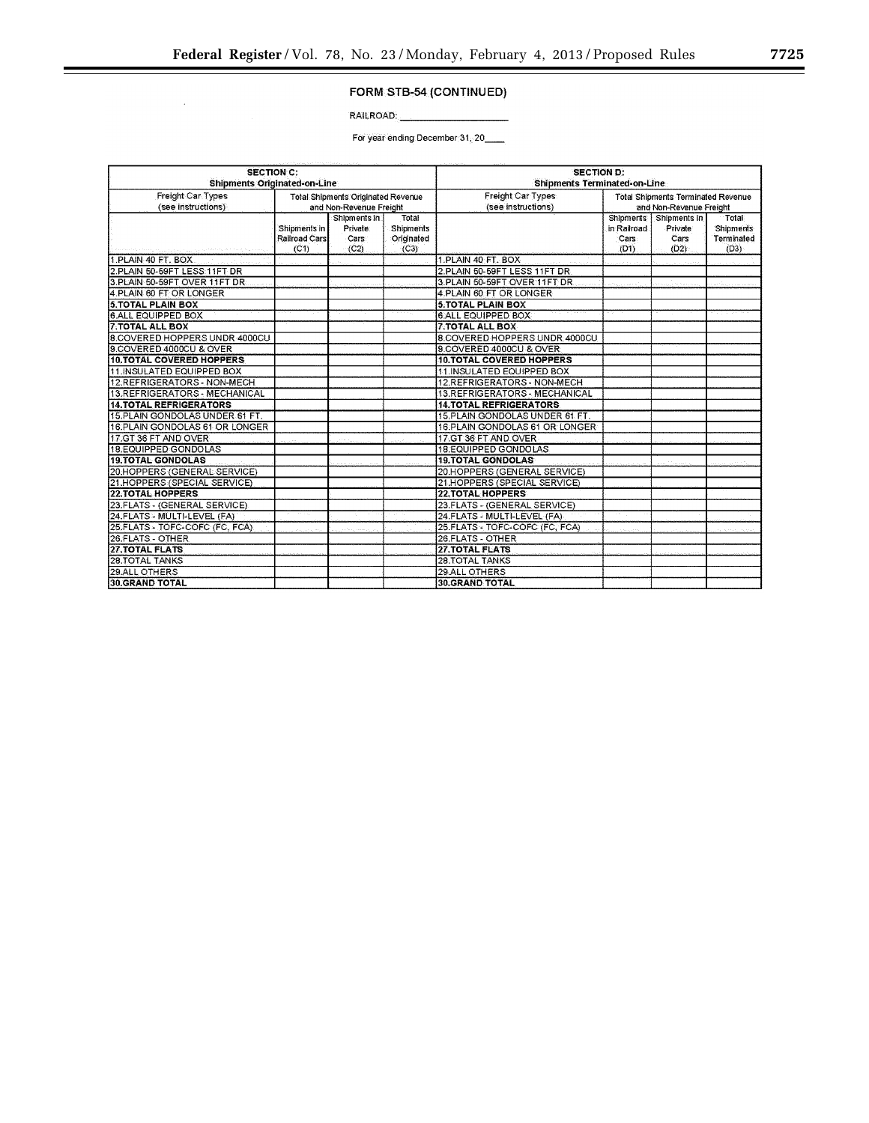# FORM STB-54 (CONTINUED)

RAILROAD:

 $\hat{\boldsymbol{\beta}}$ 

For year ending December 31, 20

|                                     | <b>SECTION C:</b> |                                    |            | <b>SECTION D:</b>                   |                                           |                         |                  |  |  |  |  |  |  |  |  |
|-------------------------------------|-------------------|------------------------------------|------------|-------------------------------------|-------------------------------------------|-------------------------|------------------|--|--|--|--|--|--|--|--|
| <b>Shipments Originated-on-Line</b> |                   |                                    |            | <b>Shipments Terminated-on-Line</b> |                                           |                         |                  |  |  |  |  |  |  |  |  |
| Freight Car Types                   |                   | Total Shipments Originated Revenue |            | Freight Car Types                   | <b>Total Shipments Terminated Revenue</b> |                         |                  |  |  |  |  |  |  |  |  |
| (see instructions)                  |                   | and Non-Revenue Freight            |            | (see instructions)                  |                                           | and Non-Revenue Freight |                  |  |  |  |  |  |  |  |  |
|                                     |                   | Shipments in                       | Total      |                                     | <b>Shipments</b>                          | Shipments in            | Total            |  |  |  |  |  |  |  |  |
|                                     | Shipments in      | Private:                           | Shipments  |                                     | in Railroad                               | Private                 | <b>Shipments</b> |  |  |  |  |  |  |  |  |
|                                     | Railroad Cars     | Cars:                              | Originated |                                     | Cars                                      | Cars                    | Terminated       |  |  |  |  |  |  |  |  |
|                                     | (C1)              | (C2)                               | (C3)       |                                     | (D1)                                      | (D2)                    | (D3)             |  |  |  |  |  |  |  |  |
| 1.PLAIN 40 FT, BOX                  |                   |                                    |            | 1.PLAIN 40 FT. BOX                  |                                           |                         |                  |  |  |  |  |  |  |  |  |
| 2.PLAIN 50-59FT LESS 11FT DR        |                   |                                    |            | 2.PLAIN 50-59FT LESS 11FT DR        |                                           |                         |                  |  |  |  |  |  |  |  |  |
| 3.PLAIN 50-59FT OVER 11FT DR        |                   |                                    |            | 3.PLAIN 50-59FT OVER 11FT DR        |                                           |                         |                  |  |  |  |  |  |  |  |  |
| 4.PLAIN 60 FT OR LONGER             |                   |                                    |            | 4.PLAIN 60 FT OR LONGER             |                                           |                         |                  |  |  |  |  |  |  |  |  |
| <b>5.TOTAL PLAIN BOX</b>            |                   |                                    |            | <b>5.TOTAL PLAIN BOX</b>            |                                           |                         |                  |  |  |  |  |  |  |  |  |
| <b>6 ALL EQUIPPED BOX</b>           |                   |                                    |            | <b>6.ALL EQUIPPED BOX</b>           |                                           |                         |                  |  |  |  |  |  |  |  |  |
| <b>7.TOTAL ALL BOX</b>              |                   |                                    |            | <b>7.TOTAL ALL BOX</b>              |                                           |                         |                  |  |  |  |  |  |  |  |  |
| 8.COVERED HOPPERS UNDR 4000CU       |                   |                                    |            | 8.COVERED HOPPERS UNDR 4000CU       |                                           |                         |                  |  |  |  |  |  |  |  |  |
| 9.COVERED 4000CU & OVER             |                   |                                    |            | 9.COVERED 4000CU & OVER             |                                           |                         |                  |  |  |  |  |  |  |  |  |
| <b>10.TOTAL COVERED HOPPERS</b>     |                   |                                    |            | 10. TOTAL COVERED HOPPERS           |                                           |                         |                  |  |  |  |  |  |  |  |  |
| 11.INSULATED EQUIPPED BOX           |                   |                                    |            | 11. INSULATED EQUIPPED BOX          |                                           |                         |                  |  |  |  |  |  |  |  |  |
| 12.REFRIGERATORS - NON-MECH         |                   |                                    |            |                                     |                                           |                         |                  |  |  |  |  |  |  |  |  |
| 13.REFRIGERATORS - MECHANICAL       |                   |                                    |            |                                     |                                           |                         |                  |  |  |  |  |  |  |  |  |
| <b>14.TOTAL REFRIGERATORS</b>       |                   |                                    |            | 14.TOTAL REFRIGERATORS              |                                           |                         |                  |  |  |  |  |  |  |  |  |
| 15.PLAIN GONDOLAS UNDER 61 FT.      |                   |                                    |            | 15. PLAIN GONDOLAS UNDER 61 FT.     |                                           |                         |                  |  |  |  |  |  |  |  |  |
| 16 PLAIN GONDOLAS 61 OR LONGER      |                   |                                    |            | 16.PLAIN GONDOLAS 61 OR LONGER      |                                           |                         |                  |  |  |  |  |  |  |  |  |
| 17.GT 36 FT AND OVER                |                   |                                    |            | 17.GT 36 FT AND OVER                |                                           |                         |                  |  |  |  |  |  |  |  |  |
| 18.EQUIPPED GONDOLAS                |                   |                                    |            | 18.EQUIPPED GONDOLAS                |                                           |                         |                  |  |  |  |  |  |  |  |  |
| <b>19.TOTAL GONDOLAS</b>            |                   |                                    |            | <b>19.TOTAL GONDOLAS</b>            |                                           |                         |                  |  |  |  |  |  |  |  |  |
| 20.HOPPERS (GENERAL SERVICE)        |                   |                                    |            | 20.HOPPERS (GENERAL SERVICE)        |                                           |                         |                  |  |  |  |  |  |  |  |  |
| 21 HOPPERS (SPECIAL SERVICE)        |                   |                                    |            | 21.HOPPERS (SPECIAL SERVICE)        |                                           |                         |                  |  |  |  |  |  |  |  |  |
| <b>22. TOTAL HOPPERS</b>            |                   |                                    |            | <b>22 TOTAL HOPPERS</b>             |                                           |                         |                  |  |  |  |  |  |  |  |  |
| 23.FLATS - (GENERAL SERVICE)        |                   |                                    |            | 23.FLATS - (GENERAL SERVICE)        |                                           |                         |                  |  |  |  |  |  |  |  |  |
| 24 FLATS - MULTI-LEVEL (FA)         |                   |                                    |            | 24 FLATS - MULTI-LEVEL (FA)         |                                           |                         |                  |  |  |  |  |  |  |  |  |
| 25.FLATS - TOFC-COFC (FC, FCA)      |                   |                                    |            | 25 FLATS - TOFC-COFC (FC, FCA)      |                                           |                         |                  |  |  |  |  |  |  |  |  |
| 26 FLATS - OTHER                    |                   |                                    |            | 26.FLATS - OTHER                    |                                           |                         |                  |  |  |  |  |  |  |  |  |
| <b>27.TOTAL FLATS</b>               |                   |                                    |            | 27.TOTAL FLATS                      |                                           |                         |                  |  |  |  |  |  |  |  |  |
| <b>28.TOTAL TANKS</b>               |                   |                                    |            | <b>28.TOTAL TANKS</b>               |                                           |                         |                  |  |  |  |  |  |  |  |  |
| 29.ALL OTHERS                       |                   |                                    |            | 29.ALL OTHERS                       |                                           |                         |                  |  |  |  |  |  |  |  |  |
| 30.GRAND TOTAL                      |                   |                                    |            | <b>30 GRAND TOTAL</b>               |                                           |                         |                  |  |  |  |  |  |  |  |  |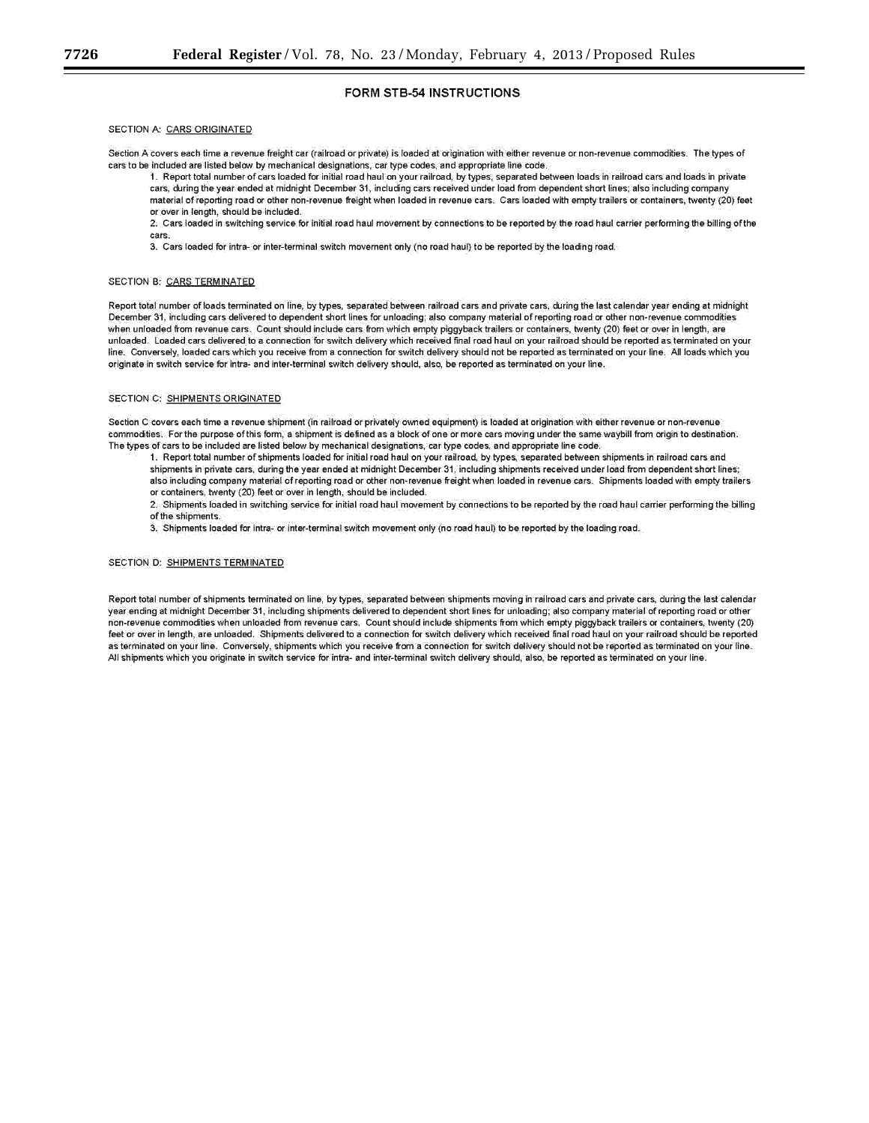### FORM STB-54 INSTRUCTIONS

#### SECTION A: CARS ORIGINATED

Section A covers each time a revenue freight car (railroad or private) is loaded at origination with either revenue or non-revenue commodities. The types of cars to be included are listed below by mechanical designations, car type codes, and appropriate line code.

1. Report total number of cars loaded for initial road haul on your railroad, by types, separated between loads in railroad cars and loads in private cars, during the year ended at midnight December 31, including cars received under load from dependent short lines; also including company material of reporting road or other non-revenue freight when loaded in revenue cars. Cars loaded with empty trailers or containers, twenty (20) feet or over in length, should be included.

2. Cars loaded in switching service for initial road haul movement by connections to be reported by the road haul carrier performing the billing of the cars.

3. Cars loaded for intra- or inter-terminal switch movement only (no road haul) to be reported by the loading road.

#### SECTION B: CARS TERMINATED

Report total number of loads terminated on line, by types, separated between railroad cars and private cars, during the last calendar year ending at midnight December 31, including cars delivered to dependent short lines for unloading; also company material of reporting road or other non-revenue commodities when unloaded from revenue cars. Count should include cars from which empty piggyback trailers or containers, twenty (20) feet or over in length, are unloaded. Loaded cars delivered to a connection for switch delivery which received final road haul on your railroad should be reported as terminated on your line. Conversely, loaded cars which you receive from a connection for switch delivery should not be reported as terminated on your line. All loads which you originate in switch service for intra- and inter-terminal switch delivery should, also, be reported as terminated on your line.

#### SECTION C: SHIPMENTS ORIGINATED

Section C covers each time a revenue shipment (in railroad or privately owned equipment) is loaded at origination with either revenue or non-revenue commodities. For the purpose of this form, a shipment is defined as a block of one or more cars moving under the same waybill from origin to destination. The types of cars to be included are listed below by mechanical designations, car type codes, and appropriate line code.

1. Report total number of shipments loaded for initial road haul on your railroad, by types, separated between shipments in railroad cars and shipments in private cars, during the year ended at midnight December 31, including shipments received under load from dependent short lines; also including company material of reporting road or other non-revenue freight when loaded in revenue cars. Shipments loaded with empty trailers or containers, twenty (20) feet or over in length, should be included.

2. Shipments loaded in switching service for initial road haul movement by connections to be reported by the road haul carrier performing the billing of the shipments.

3. Shipments loaded for intra- or inter-terminal switch movement only (no road haul) to be reported by the loading road.

#### SECTION D: SHIPMENTS TERMINATED

Report total number of shipments terminated on line, by types, separated between shipments moving in railroad cars and private cars, during the last calendar year ending at midnight December 31, including shipments delivered to dependent short lines for unloading; also company material of reporting road or other non-revenue commodities when unloaded from revenue cars. Count should include shipments from which empty piggyback trailers or containers, twenty (20) feet or over in length, are unloaded. Shipments delivered to a connection for switch delivery which received final road haul on your railroad should be reported as terminated on your line. Conversely, shipments which you receive from a connection for switch delivery should not be reported as terminated on your line. All shipments which you originate in switch service for intra- and inter-terminal switch delivery should, also, be reported as terminated on your line.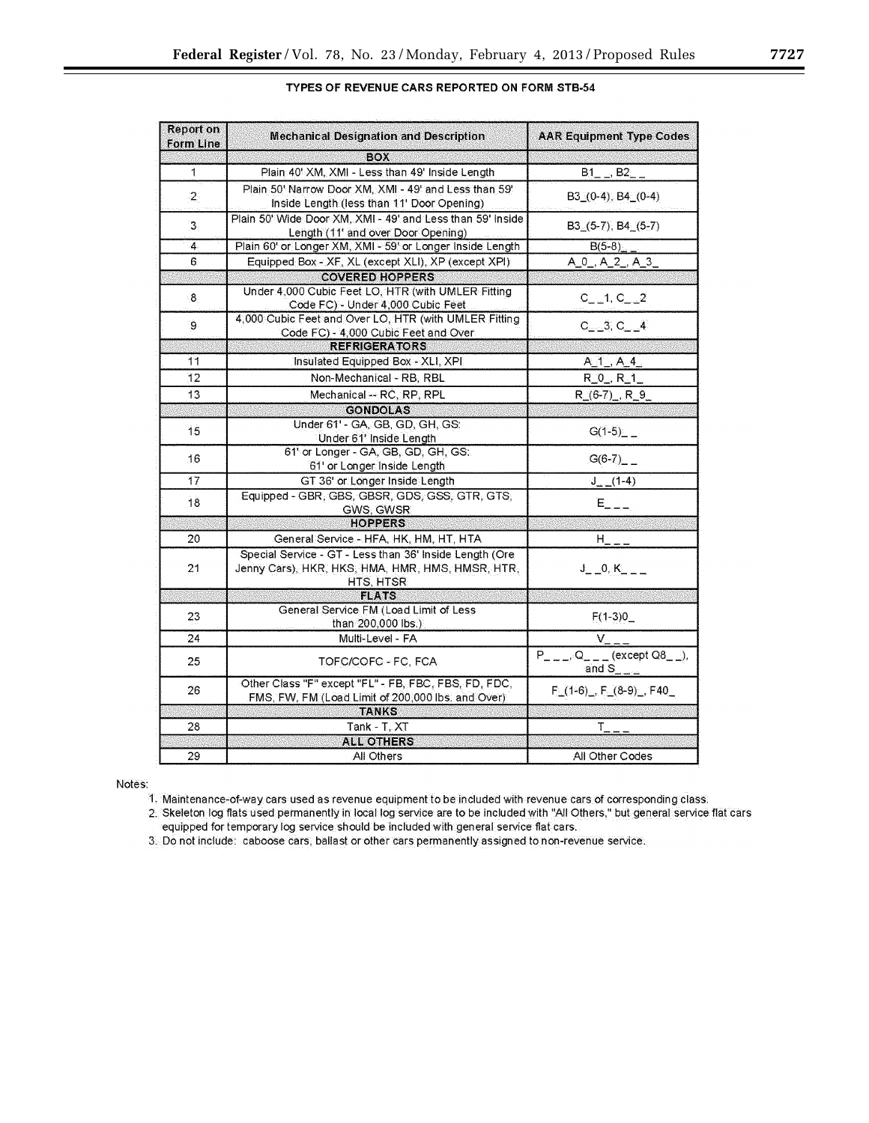| <b>Report on</b><br><b>Form Line</b> | <b>Mechanical Designation and Description</b>                                                                            | <b>AAR Equipment Type Codes</b>                                   |
|--------------------------------------|--------------------------------------------------------------------------------------------------------------------------|-------------------------------------------------------------------|
|                                      | <b>BOX</b>                                                                                                               |                                                                   |
| 1                                    | Plain 40' XM, XMI - Less than 49' Inside Length                                                                          | $B1$ <sub>-<math>-</math></sub> , $B2$ <sub>-<math>-</math></sub> |
| $\mathbf{2}$                         | Plain 50' Narrow Door XM, XMI - 49' and Less than 59'<br>Inside Length (less than 11' Door Opening)                      | B3_(0-4), B4_(0-4).                                               |
| 3.                                   | Plain 50' Wide Door XM, XMI - 49' and Less than 59' Inside<br>Length (11' and over Door Opening)                         | $B3(5-7), B4(5-7)$                                                |
| 4.                                   | Plain 60' or Longer XM, XMI - 59' or Longer Inside Length                                                                | $B(5-8)$                                                          |
| 6.                                   | Equipped Box - XF, XL (except XLI), XP (except XPI).                                                                     | A_0_, A_2_, A_3_                                                  |
|                                      | <b>COVERED HOPPERS</b>                                                                                                   |                                                                   |
| $8^{\circ}$                          | Under 4,000 Cubic Feet LO, HTR (with UMLER Fitting<br>Code FC) - Under 4,000 Cubic Feet.                                 | $C_{\perp}$ $-1$ , $C_{\perp}$ $-2$                               |
| g.                                   | 4,000 Cubic Feet and Over LO, HTR (with UMLER Fitting<br>Code FC) - 4,000 Cubic Feet and Over                            | $C_{-2}$ 3, $C_{-2}$ 4                                            |
|                                      | <b>REFRIGERATORS</b>                                                                                                     |                                                                   |
| 11                                   | Insulated Equipped Box - XLI, XPI                                                                                        | $A_1$ , $A_4$                                                     |
| 12                                   | Non-Mechanical - RB, RBL                                                                                                 | $R_0, R_1$                                                        |
| 13                                   | Mechanical -- RC, RP, RPL                                                                                                | $R(6-7), R9$                                                      |
|                                      | <b>GONDOLAS</b>                                                                                                          |                                                                   |
| 15                                   | Under 61' - GA, GB, GD, GH, GS:<br>Under 61' Inside Length                                                               | $G(1-5)$ <sub>-</sub>                                             |
| 16                                   | 61' or Longer - GA, GB, GD, GH, GS;<br>61' or Longer Inside Length                                                       | $G(6-7)$ <sub>-1</sub>                                            |
| 17                                   | GT 36' or Longer Inside Length                                                                                           | $J_{-}$ (1-4)                                                     |
| 18                                   | Equipped - GBR, GBS, GBSR, GDS, GSS, GTR, GTS,<br>GWS, GWSR                                                              | $E_{---}$                                                         |
|                                      | <b>HOPPERS</b>                                                                                                           |                                                                   |
| 20                                   | General Service - HFA, HK, HM, HT, HTA                                                                                   | $H_{---}$                                                         |
| 21                                   | Special Service - GT - Less than 36' Inside Length (Ore<br>Jenny Cars), HKR, HKS, HMA, HMR, HMS, HMSR, HTR,<br>HTS, HTSR | $J_2 = 0, K_2 = 1$                                                |
|                                      | <b>FLATS</b>                                                                                                             |                                                                   |
| 23                                   | General Service FM (Load Limit of Less<br>than 200,000 lbs.)                                                             | $F(1-3)0$                                                         |
| 24                                   | Multi-Level - FA                                                                                                         | V                                                                 |
| 25                                   | TOFC/COFC - FC, FCA                                                                                                      | and S                                                             |
| 26                                   | Other Class "F" except "FL" - FB, FBC, FBS, FD, FDC,<br>FMS, FW, FM (Load Limit of 200,000 lbs. and Over)                | $F(1-6)$ , $F(8-9)$ , $F(40)$                                     |
|                                      | <b>TANKS</b>                                                                                                             |                                                                   |
| 28                                   | Tank - T., XT                                                                                                            | T_ _ _                                                            |
|                                      | <b>ALL OTHERS</b>                                                                                                        |                                                                   |
| 29                                   | All Others                                                                                                               | All Other Codes                                                   |

# TYPES OF REVENUE CARS REPORTED ON FORM STB-54

Notes:

1. Maintenance-of-way cars used as revenue equipment to be included with revenue cars of corresponding class.

2. Skeleton log flats used permanently in local log service are to be included with "All Others," but general service flat cars equipped for temporary log service should be included with general service flat cars.

3. Do not include: caboose cars, ballast or other cars permanently assigned to non-revenue service.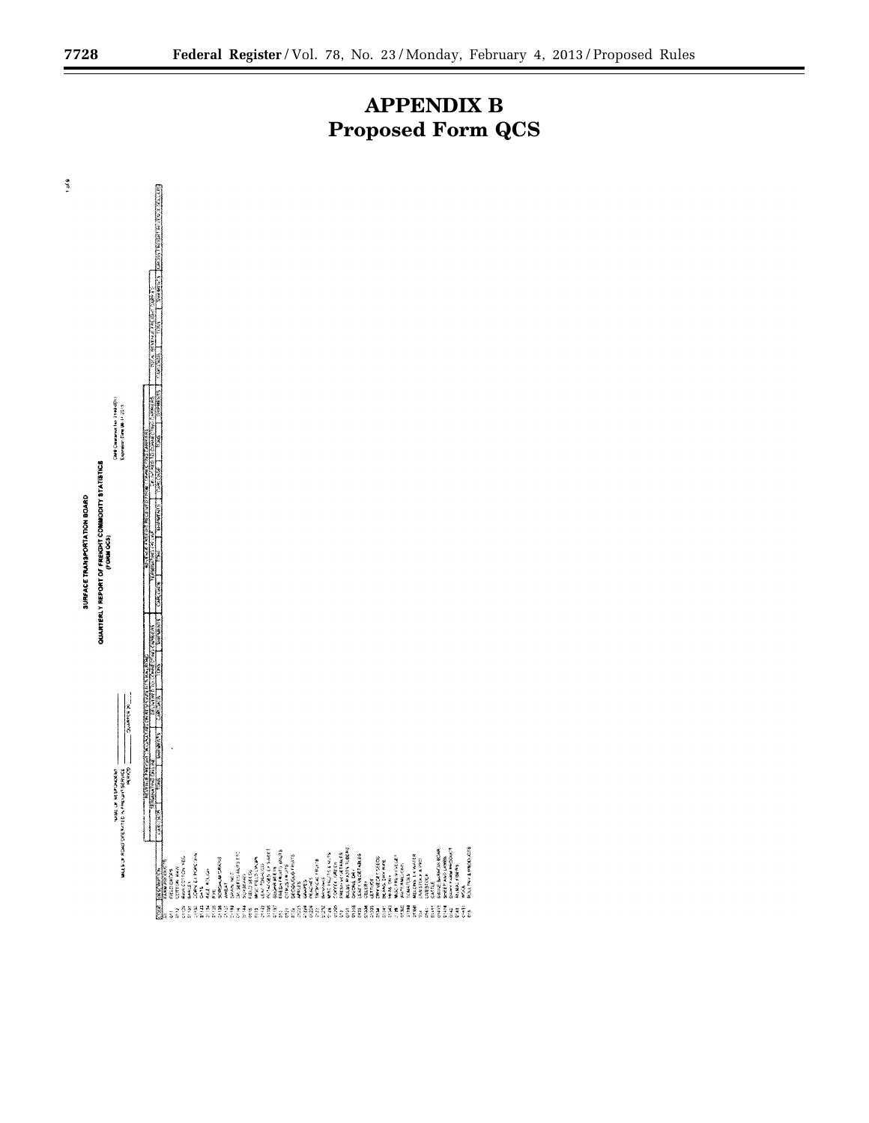

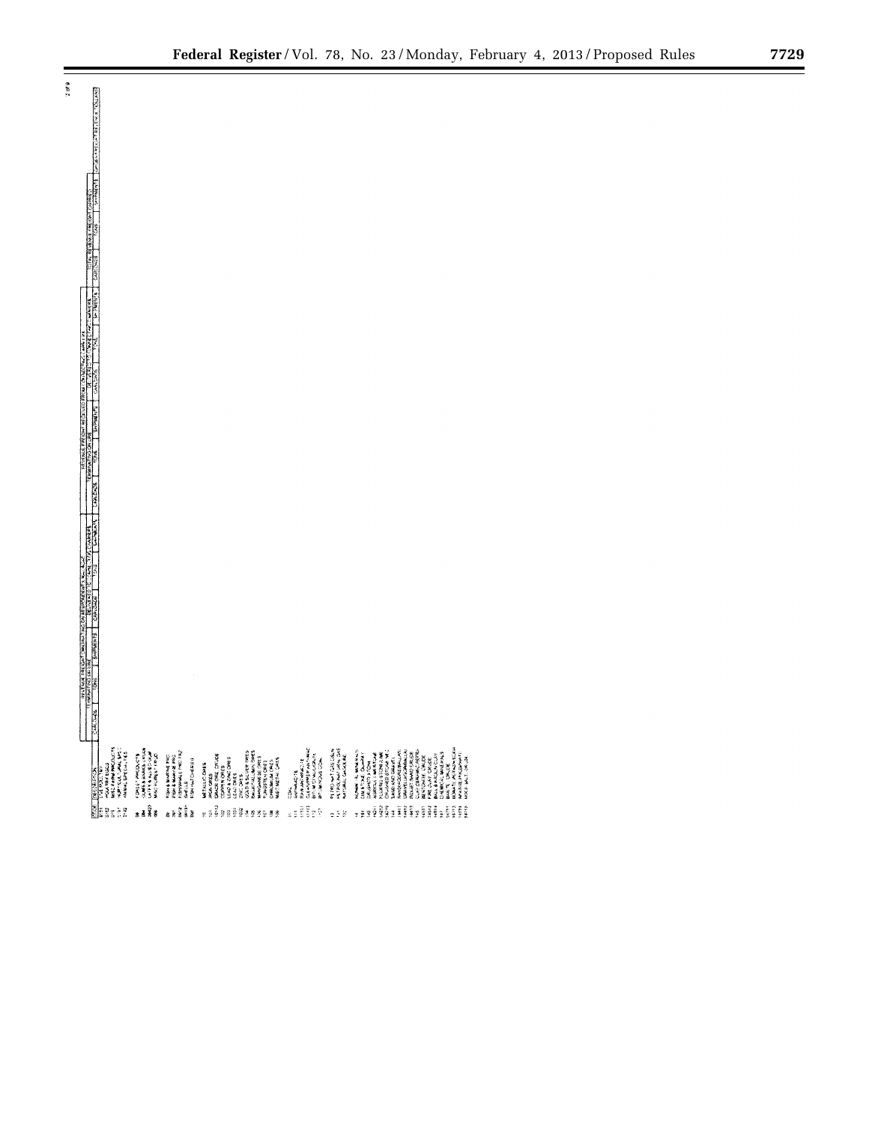▀



 $\frac{1}{2}$  or  $\frac{3}{2}$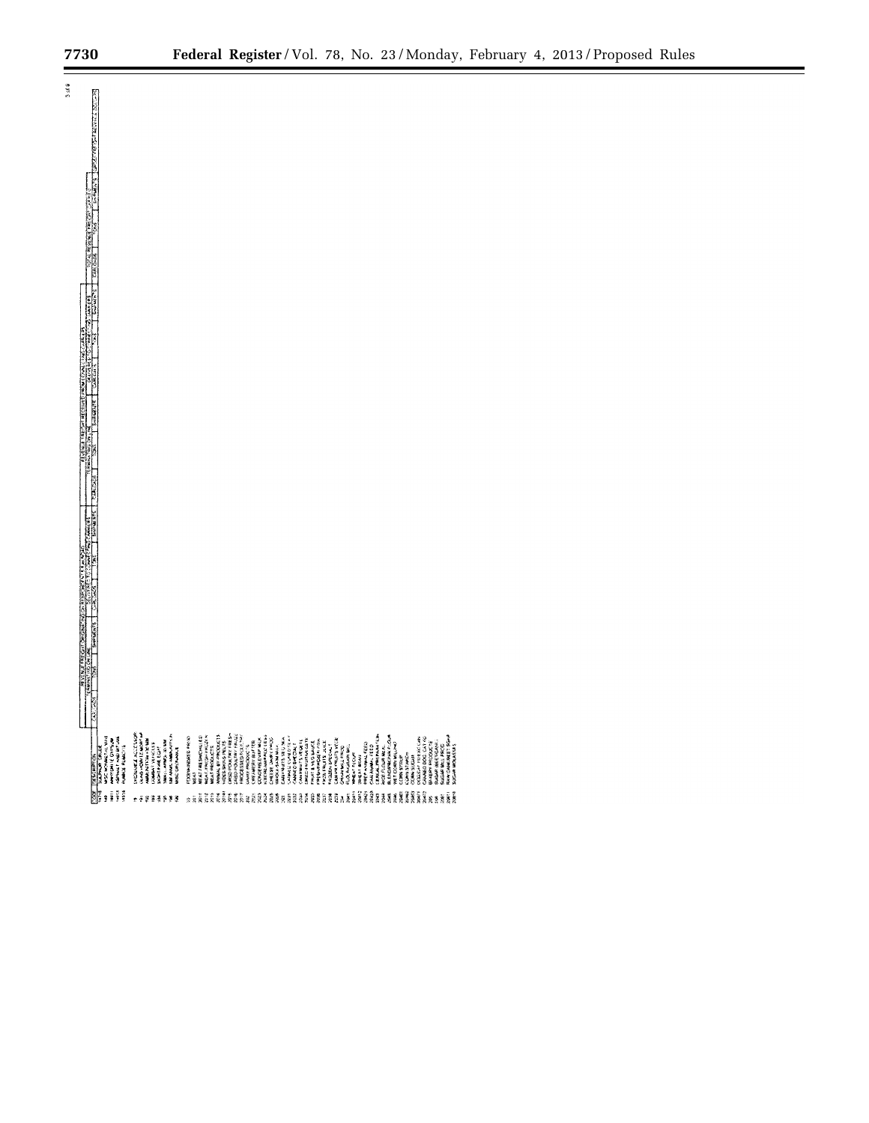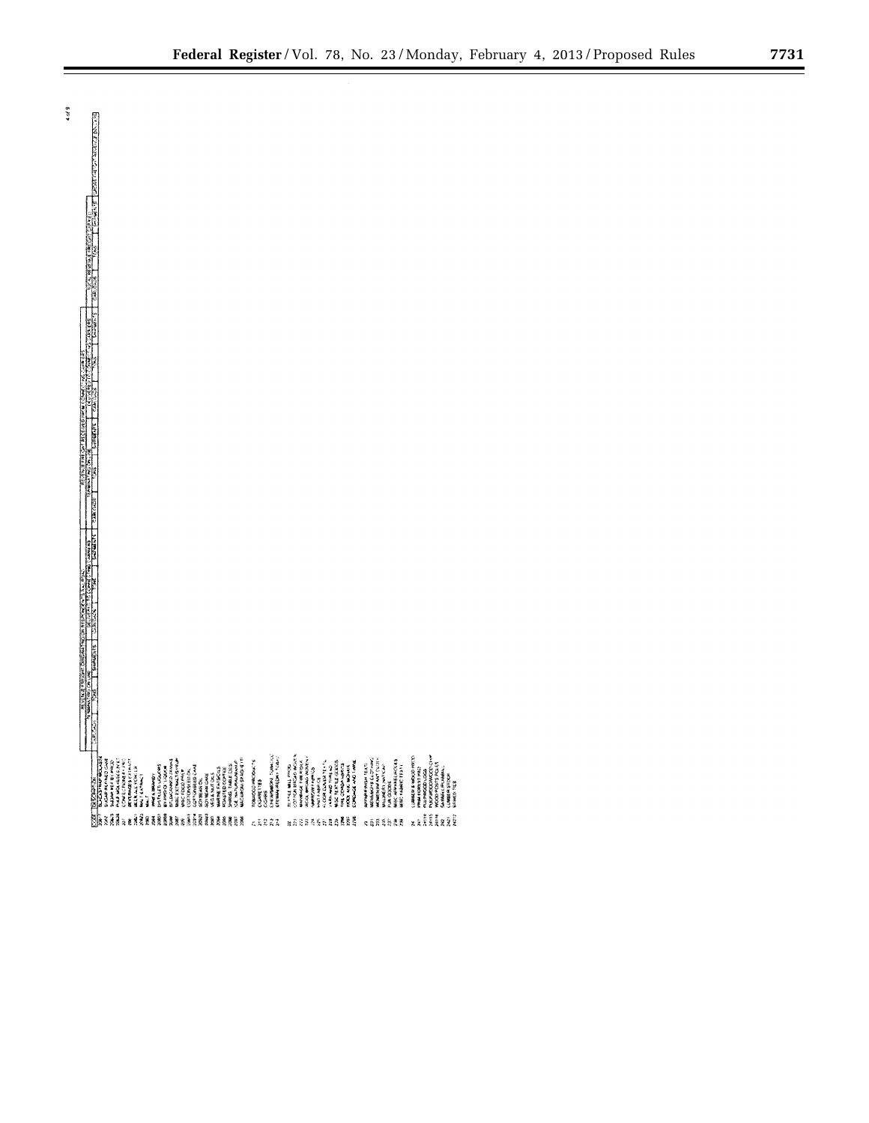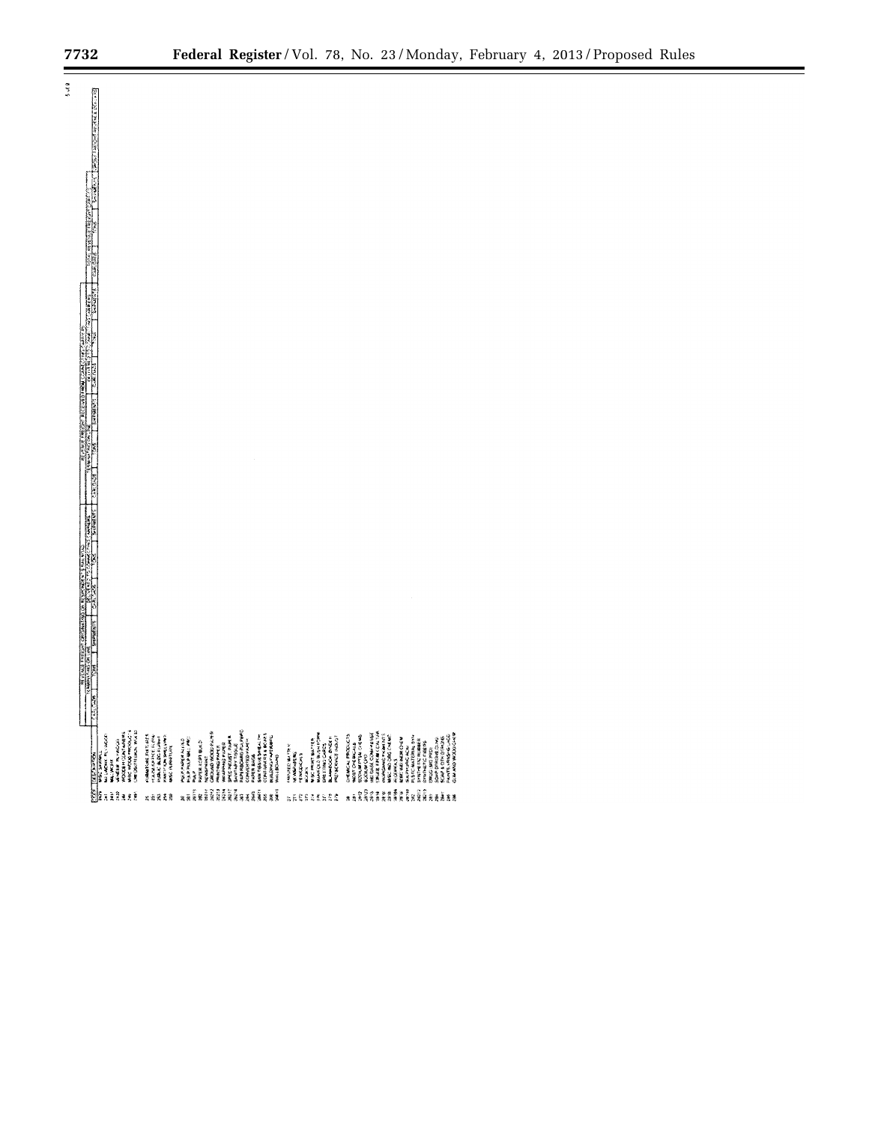$5.48$ 

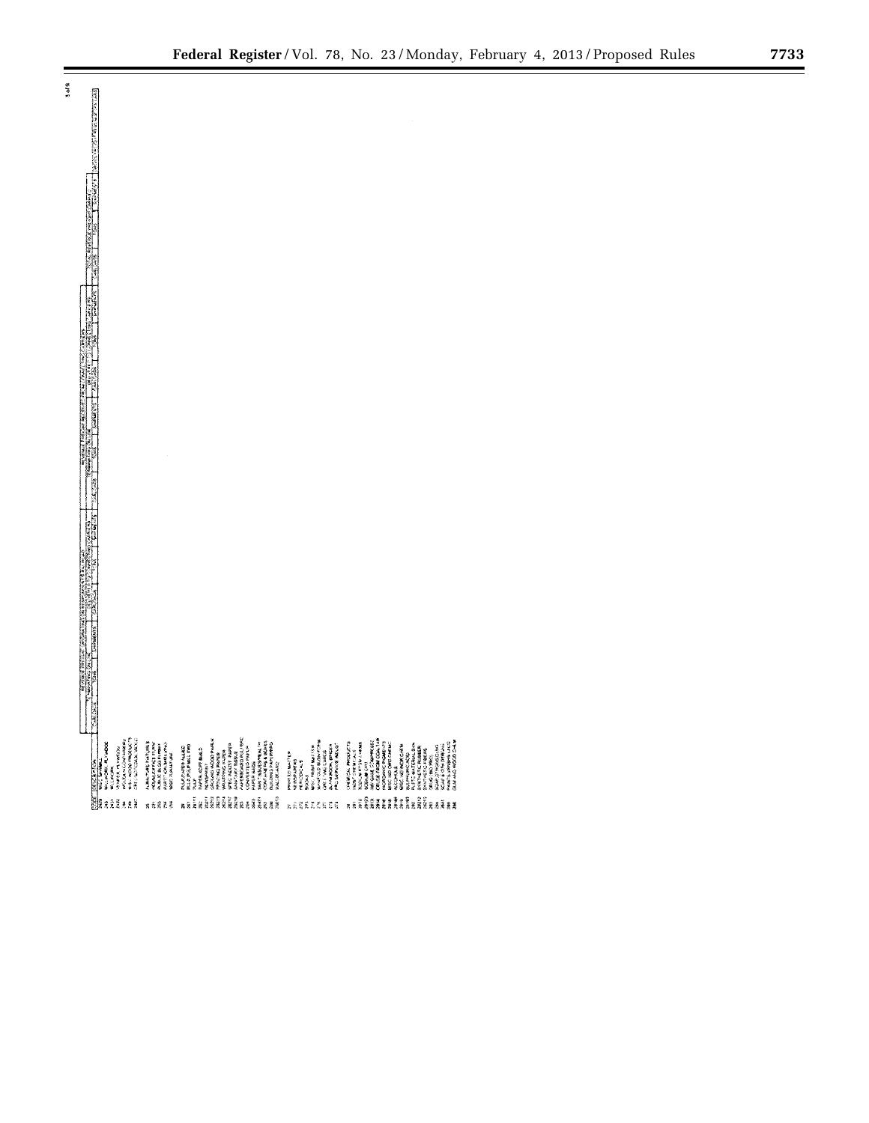| $\frac{3}{2}$ |                                                                                                               |                                                                                                                                                    |                                                                              |                                                                                                                                                                                                                                                                                   |                                                                                                                                             |                                                                                                                                                                                                                                                                                                                                                                                                                                                                    |  |
|---------------|---------------------------------------------------------------------------------------------------------------|----------------------------------------------------------------------------------------------------------------------------------------------------|------------------------------------------------------------------------------|-----------------------------------------------------------------------------------------------------------------------------------------------------------------------------------------------------------------------------------------------------------------------------------|---------------------------------------------------------------------------------------------------------------------------------------------|--------------------------------------------------------------------------------------------------------------------------------------------------------------------------------------------------------------------------------------------------------------------------------------------------------------------------------------------------------------------------------------------------------------------------------------------------------------------|--|
|               |                                                                                                               |                                                                                                                                                    |                                                                              |                                                                                                                                                                                                                                                                                   |                                                                                                                                             |                                                                                                                                                                                                                                                                                                                                                                                                                                                                    |  |
|               |                                                                                                               |                                                                                                                                                    |                                                                              |                                                                                                                                                                                                                                                                                   |                                                                                                                                             |                                                                                                                                                                                                                                                                                                                                                                                                                                                                    |  |
|               |                                                                                                               |                                                                                                                                                    |                                                                              |                                                                                                                                                                                                                                                                                   |                                                                                                                                             |                                                                                                                                                                                                                                                                                                                                                                                                                                                                    |  |
|               |                                                                                                               |                                                                                                                                                    |                                                                              |                                                                                                                                                                                                                                                                                   |                                                                                                                                             |                                                                                                                                                                                                                                                                                                                                                                                                                                                                    |  |
|               |                                                                                                               |                                                                                                                                                    |                                                                              |                                                                                                                                                                                                                                                                                   |                                                                                                                                             |                                                                                                                                                                                                                                                                                                                                                                                                                                                                    |  |
|               |                                                                                                               |                                                                                                                                                    |                                                                              |                                                                                                                                                                                                                                                                                   |                                                                                                                                             |                                                                                                                                                                                                                                                                                                                                                                                                                                                                    |  |
|               |                                                                                                               |                                                                                                                                                    |                                                                              |                                                                                                                                                                                                                                                                                   |                                                                                                                                             |                                                                                                                                                                                                                                                                                                                                                                                                                                                                    |  |
|               |                                                                                                               |                                                                                                                                                    |                                                                              |                                                                                                                                                                                                                                                                                   |                                                                                                                                             |                                                                                                                                                                                                                                                                                                                                                                                                                                                                    |  |
|               |                                                                                                               |                                                                                                                                                    |                                                                              |                                                                                                                                                                                                                                                                                   |                                                                                                                                             |                                                                                                                                                                                                                                                                                                                                                                                                                                                                    |  |
|               |                                                                                                               |                                                                                                                                                    |                                                                              |                                                                                                                                                                                                                                                                                   |                                                                                                                                             |                                                                                                                                                                                                                                                                                                                                                                                                                                                                    |  |
|               |                                                                                                               |                                                                                                                                                    |                                                                              |                                                                                                                                                                                                                                                                                   |                                                                                                                                             |                                                                                                                                                                                                                                                                                                                                                                                                                                                                    |  |
|               |                                                                                                               |                                                                                                                                                    |                                                                              |                                                                                                                                                                                                                                                                                   |                                                                                                                                             |                                                                                                                                                                                                                                                                                                                                                                                                                                                                    |  |
|               |                                                                                                               |                                                                                                                                                    |                                                                              |                                                                                                                                                                                                                                                                                   |                                                                                                                                             |                                                                                                                                                                                                                                                                                                                                                                                                                                                                    |  |
|               |                                                                                                               |                                                                                                                                                    |                                                                              |                                                                                                                                                                                                                                                                                   |                                                                                                                                             |                                                                                                                                                                                                                                                                                                                                                                                                                                                                    |  |
|               |                                                                                                               |                                                                                                                                                    |                                                                              |                                                                                                                                                                                                                                                                                   |                                                                                                                                             |                                                                                                                                                                                                                                                                                                                                                                                                                                                                    |  |
|               |                                                                                                               |                                                                                                                                                    |                                                                              |                                                                                                                                                                                                                                                                                   |                                                                                                                                             |                                                                                                                                                                                                                                                                                                                                                                                                                                                                    |  |
|               |                                                                                                               |                                                                                                                                                    |                                                                              |                                                                                                                                                                                                                                                                                   |                                                                                                                                             |                                                                                                                                                                                                                                                                                                                                                                                                                                                                    |  |
|               |                                                                                                               |                                                                                                                                                    |                                                                              |                                                                                                                                                                                                                                                                                   |                                                                                                                                             |                                                                                                                                                                                                                                                                                                                                                                                                                                                                    |  |
|               |                                                                                                               |                                                                                                                                                    |                                                                              |                                                                                                                                                                                                                                                                                   |                                                                                                                                             |                                                                                                                                                                                                                                                                                                                                                                                                                                                                    |  |
|               |                                                                                                               |                                                                                                                                                    |                                                                              |                                                                                                                                                                                                                                                                                   |                                                                                                                                             |                                                                                                                                                                                                                                                                                                                                                                                                                                                                    |  |
|               |                                                                                                               |                                                                                                                                                    |                                                                              |                                                                                                                                                                                                                                                                                   |                                                                                                                                             |                                                                                                                                                                                                                                                                                                                                                                                                                                                                    |  |
|               |                                                                                                               |                                                                                                                                                    |                                                                              |                                                                                                                                                                                                                                                                                   |                                                                                                                                             |                                                                                                                                                                                                                                                                                                                                                                                                                                                                    |  |
|               |                                                                                                               |                                                                                                                                                    |                                                                              |                                                                                                                                                                                                                                                                                   |                                                                                                                                             |                                                                                                                                                                                                                                                                                                                                                                                                                                                                    |  |
|               |                                                                                                               |                                                                                                                                                    |                                                                              |                                                                                                                                                                                                                                                                                   |                                                                                                                                             |                                                                                                                                                                                                                                                                                                                                                                                                                                                                    |  |
|               |                                                                                                               |                                                                                                                                                    |                                                                              |                                                                                                                                                                                                                                                                                   |                                                                                                                                             |                                                                                                                                                                                                                                                                                                                                                                                                                                                                    |  |
|               |                                                                                                               |                                                                                                                                                    |                                                                              |                                                                                                                                                                                                                                                                                   |                                                                                                                                             |                                                                                                                                                                                                                                                                                                                                                                                                                                                                    |  |
|               |                                                                                                               |                                                                                                                                                    |                                                                              |                                                                                                                                                                                                                                                                                   |                                                                                                                                             |                                                                                                                                                                                                                                                                                                                                                                                                                                                                    |  |
|               |                                                                                                               |                                                                                                                                                    |                                                                              |                                                                                                                                                                                                                                                                                   |                                                                                                                                             |                                                                                                                                                                                                                                                                                                                                                                                                                                                                    |  |
|               |                                                                                                               |                                                                                                                                                    |                                                                              |                                                                                                                                                                                                                                                                                   |                                                                                                                                             |                                                                                                                                                                                                                                                                                                                                                                                                                                                                    |  |
|               |                                                                                                               |                                                                                                                                                    |                                                                              |                                                                                                                                                                                                                                                                                   |                                                                                                                                             |                                                                                                                                                                                                                                                                                                                                                                                                                                                                    |  |
|               |                                                                                                               |                                                                                                                                                    |                                                                              |                                                                                                                                                                                                                                                                                   |                                                                                                                                             |                                                                                                                                                                                                                                                                                                                                                                                                                                                                    |  |
|               |                                                                                                               |                                                                                                                                                    |                                                                              |                                                                                                                                                                                                                                                                                   |                                                                                                                                             |                                                                                                                                                                                                                                                                                                                                                                                                                                                                    |  |
|               |                                                                                                               |                                                                                                                                                    |                                                                              |                                                                                                                                                                                                                                                                                   |                                                                                                                                             |                                                                                                                                                                                                                                                                                                                                                                                                                                                                    |  |
|               | , and the component with the component of the component of the component of the component of the component of |                                                                                                                                                    |                                                                              |                                                                                                                                                                                                                                                                                   |                                                                                                                                             |                                                                                                                                                                                                                                                                                                                                                                                                                                                                    |  |
|               |                                                                                                               |                                                                                                                                                    |                                                                              |                                                                                                                                                                                                                                                                                   |                                                                                                                                             |                                                                                                                                                                                                                                                                                                                                                                                                                                                                    |  |
|               |                                                                                                               |                                                                                                                                                    |                                                                              |                                                                                                                                                                                                                                                                                   |                                                                                                                                             |                                                                                                                                                                                                                                                                                                                                                                                                                                                                    |  |
|               |                                                                                                               |                                                                                                                                                    |                                                                              |                                                                                                                                                                                                                                                                                   |                                                                                                                                             |                                                                                                                                                                                                                                                                                                                                                                                                                                                                    |  |
|               |                                                                                                               |                                                                                                                                                    |                                                                              |                                                                                                                                                                                                                                                                                   |                                                                                                                                             |                                                                                                                                                                                                                                                                                                                                                                                                                                                                    |  |
|               |                                                                                                               |                                                                                                                                                    |                                                                              |                                                                                                                                                                                                                                                                                   |                                                                                                                                             |                                                                                                                                                                                                                                                                                                                                                                                                                                                                    |  |
|               | <b>PERMITS</b>                                                                                                |                                                                                                                                                    |                                                                              |                                                                                                                                                                                                                                                                                   |                                                                                                                                             |                                                                                                                                                                                                                                                                                                                                                                                                                                                                    |  |
|               |                                                                                                               |                                                                                                                                                    |                                                                              |                                                                                                                                                                                                                                                                                   |                                                                                                                                             |                                                                                                                                                                                                                                                                                                                                                                                                                                                                    |  |
|               |                                                                                                               |                                                                                                                                                    |                                                                              | $\begin{array}{l} \mathbf{1}_{\{2,3\},\{3\},\{4\},\{4\},\{5\},\{6\},\{7\},\{8\},\{8\},\{9\},\{10\},\{10\},\{10\},\{10\},\{10\},\{10\},\{10\},\{10\},\{10\},\{10\},\{10\},\{10\},\{10\},\{10\},\{10\},\{10\},\{10\},\{10\},\{10\},\{10\},\{10\},\{10\},\{10\},\{10\},\{10\},\{10\$ |                                                                                                                                             |                                                                                                                                                                                                                                                                                                                                                                                                                                                                    |  |
|               |                                                                                                               | HALLINDRI, FLYNDDE<br>Millindri, Mondon<br>Vermein, Reynddian<br>Hallindri Mondon, Mondon<br>Hallindri Mondon, Mondon<br>Chellindri Mondon, Mondon | FUNKCHURE FATURES<br>PODALLATOR PURK<br>PURC BLOG FURKC<br>PURC PURC PURCHES |                                                                                                                                                                                                                                                                                   | PROVIDE DATIER<br>HIMPOORES<br>MARCOLARS<br>DOCAL SERVING TRANSPORT<br>DOCAL SERVING TRANSPORT<br>CALL SERVING WALKS?<br>PROVIDER TRANSPORT |                                                                                                                                                                                                                                                                                                                                                                                                                                                                    |  |
|               |                                                                                                               |                                                                                                                                                    |                                                                              |                                                                                                                                                                                                                                                                                   |                                                                                                                                             |                                                                                                                                                                                                                                                                                                                                                                                                                                                                    |  |
|               |                                                                                                               |                                                                                                                                                    |                                                                              |                                                                                                                                                                                                                                                                                   |                                                                                                                                             | $\begin{smallmatrix} \mathcal{L}_2 & \mathcal{L}_3 & \mathcal{L}_4 & \mathcal{L}_5 & \mathcal{L}_6 & \mathcal{L}_7 & \mathcal{L}_7 & \mathcal{L}_8 & \mathcal{L}_8 & \mathcal{L}_7 & \mathcal{L}_8 & \mathcal{L}_7 & \mathcal{L}_8 & \mathcal{L}_8 & \mathcal{L}_7 & \mathcal{L}_8 & \mathcal{L}_8 & \mathcal{L}_8 & \mathcal{L}_8 & \mathcal{L}_8 & \mathcal{L}_7 & \mathcal{L}_8 & \mathcal{L}_8 & \mathcal{L}_8 & \mathcal{L}_8 & \mathcal{L}_8 & \mathcal{L}_$ |  |
|               |                                                                                                               |                                                                                                                                                    | <b>g 6 2 3 3</b>                                                             |                                                                                                                                                                                                                                                                                   |                                                                                                                                             | kaitīdio kreakaselēja ir                                                                                                                                                                                                                                                                                                                                                                                                                                           |  |

 $\alpha$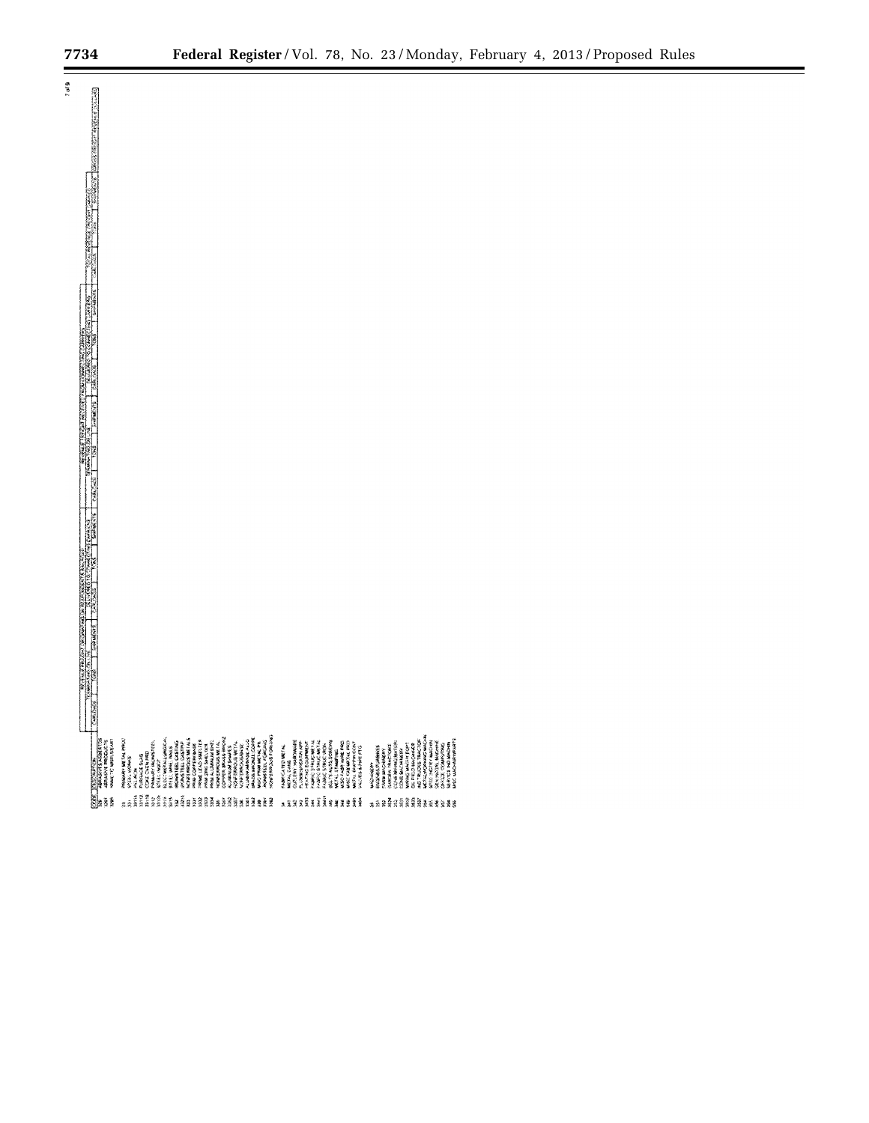$7.608$ 

▀

|                             | <b>ARASHA ASBEETS</b>                             |  |
|-----------------------------|---------------------------------------------------|--|
|                             | <b>ABRAINNE PROGRAM</b>                           |  |
|                             | <b>WARREN'S MARKET SEAR</b>                       |  |
| sā                          | <b>MINERY DETAIL PACK</b>                         |  |
| <b>NAME</b>                 | STEEL VALUES<br>网络地方                              |  |
| 33142                       | PLANNAGE SLAD                                     |  |
| ana<br>an                   | CONTRACTOR                                        |  |
|                             | <b>HOMARY BUJIESTERS</b><br><b>BORREL MARZE</b>   |  |
|                             | <b>BLOCTMETALLUMOR.M</b>                          |  |
|                             | STORE MAIN ANNUAL                                 |  |
| <u>Îî în Eastlaan din 2</u> | INCHANTEES, CASTING<br>IPONSTEES, CASTING         |  |
|                             | WORK ENGINEERING                                  |  |
|                             | Wind Confirmation                                 |  |
|                             | PRINCE LEAD SUITA                                 |  |
|                             | PROJECTORY, SING, 1824                            |  |
|                             | PRAIA AL CARRA DE GRÉC.<br>NEXUS SOREIGS ARE LA   |  |
|                             |                                                   |  |
|                             | <b>CONVER BRASS BROAD</b><br><b>CONTROL SHOPS</b> |  |
|                             | <b>WOMEROWS WITH</b>                              |  |
|                             | WWW.CHACKGONS                                     |  |
|                             | <b>CTT MANAGEMENT</b>                             |  |
|                             | <b>MASS WAVAIL COPPE</b>                          |  |
|                             | MISC PRIM METAL PR                                |  |
|                             | <b>INCHARTERS FORGRAD</b>                         |  |
|                             | WATERWAYS FORGING                                 |  |
| ä,                          | <b>INDERCATED METAL</b>                           |  |
|                             | METAL CAME                                        |  |
|                             | CUTLERY, HARDWARE                                 |  |
|                             | <b>PARTICLES IN</b>                               |  |
|                             | <b>HEATING EQUIPMENT</b>                          |  |
|                             | WANT SAMES (NAME)                                 |  |
| 193811111111                | FABRIC STRUC METAL                                |  |
|                             | <b>BOOTS AND SCREWS</b><br>A HORIZ STREET INCH    |  |
|                             | WE'RE STANDING                                    |  |
|                             | WEST-FASH WARE PRO                                |  |
|                             | <b>MARCHARTHY MODE</b>                            |  |
|                             | <b>WEST BROWN CONT</b>                            |  |
| Ž                           | 46.466.4 PWY PTG                                  |  |
| R,                          | <b>WASHINGTON</b>                                 |  |
|                             | ENOVALOVAMAS                                      |  |
|                             | <b>CARR MACHINERY</b>                             |  |
|                             | <b>GAREWAY FRANCYCALL</b>                         |  |
|                             | <b>CONNIGHT MATERS</b>                            |  |
|                             | CONS RACARDINE                                    |  |
|                             | MARKET MACTIVE DOMEST<br>ON FIELD MACHINER        |  |
|                             | NOTWORKS TRACTOR                                  |  |
|                             | WETALY CONVERT MACHIN                             |  |
| 在提交经常管管管管理重点处理              | SPEC MOTERN MACHINE<br>GEN NOTING MACHINE         |  |
|                             | CARL/MARY, T.L.KRO                                |  |
|                             |                                                   |  |
|                             | SENYCE IND MACHIN<br>MISC WACHROTIFARTS           |  |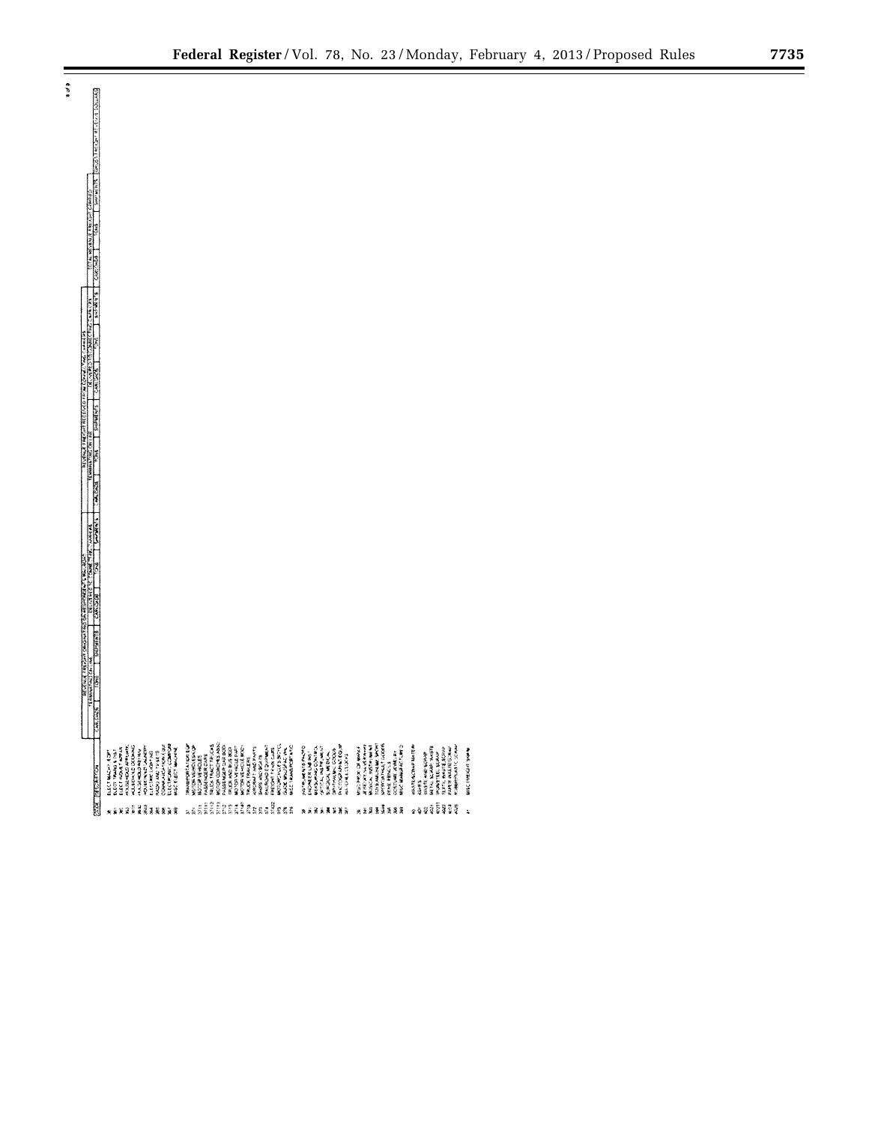| <b>CARRICANT</b><br><b>WORDS COMPASSION</b><br>ELECTRONIC COMPORT<br>MISC ELECTRICOMM<br><b>MORGANDACKS BRITCL</b><br>OP-THANK GOODS<br>TON'S MELTING WATER<br>WASHINGTON<br><b>TRANSPORTATION</b><br>TRUCK TRACT TRUCK<br>PASSEWER DAY BOD<br><b>RACRONDED INVESTIGATION</b><br><b>ROOM SARAHI</b><br><b>WALKWOOD MATER</b><br><b>HOLSOHING</b><br>HOURING DUARDY<br>COMMUNICATION EQUI<br>MAGICAL VEHICLES/CAP<br>MOTOR VEHICLE BOCH<br>RUBBAY, ASS.C. SCANN<br><b>CLANS PACERS</b><br>MISE TRANSPORTATION<br><b>MOTRUMMERTS</b><br>OF THE PARTY WAS<br><b>MARKET ALSO ANDERSON</b><br><b>WAS REMOVED</b><br><b>HARABA CLOSER XAM</b><br><b>WOTOWAY WORKS</b><br>WASHINGTON<br><b>WORK OF WHAT</b><br><b>第二十五 医三角 医三角的</b><br><b>REPORT AND STREET</b><br>PARTIE WAS RESUMED<br>ELECT TRANS & THAT<br>(RUCK AND BUS 800)<br><b>BRECOMETRIAL CARS</b><br>GULE UNIVERSITY<br><b>MAC EARNS OF THE</b><br><b>WARROOM</b><br>COSTOWE AWAY<br>ENGINEER CABINAT<br>ELECT MACHINE COPY<br><b>BLIN AND CADRE</b><br><b>MOTOR VEHICLES</b><br><b>MAGNON MEDICAL</b><br>WALE AND WORK<br>WASHING BAR<br><b>BARS AND BOATS</b><br><b>NATIONAL CONTROL</b><br><b>FRUCK TRAVERS</b><br>PENE PENCILS<br>大学の<br>ÎÎ<br>BEELANDERA<br>si<br>Si<br>្ធន្ននិនិនិនិ<br>霉素<br><b>ERAKKAR</b><br>ã<br>经储藏费基额<br>翼翼<br>¥<br>×<br>ż<br>R | - 1937 mars an Charles Charles - 1939 in 1948 an 1949 an 1950 an 1960.<br>Mars - 1946 - Thomas Bourges Indian an 1940 an 1950.                                                                                                                                                                                                                                                                                                                                                               |  |  |  |  |  |  |  |  |  |  |  |  |  |  |  |  |  |  |  |  |  |
|------------------------------------------------------------------------------------------------------------------------------------------------------------------------------------------------------------------------------------------------------------------------------------------------------------------------------------------------------------------------------------------------------------------------------------------------------------------------------------------------------------------------------------------------------------------------------------------------------------------------------------------------------------------------------------------------------------------------------------------------------------------------------------------------------------------------------------------------------------------------------------------------------------------------------------------------------------------------------------------------------------------------------------------------------------------------------------------------------------------------------------------------------------------------------------------------------------------------------------------------------------------------------------------------------------------|----------------------------------------------------------------------------------------------------------------------------------------------------------------------------------------------------------------------------------------------------------------------------------------------------------------------------------------------------------------------------------------------------------------------------------------------------------------------------------------------|--|--|--|--|--|--|--|--|--|--|--|--|--|--|--|--|--|--|--|--|--|
|                                                                                                                                                                                                                                                                                                                                                                                                                                                                                                                                                                                                                                                                                                                                                                                                                                                                                                                                                                                                                                                                                                                                                                                                                                                                                                                  | $\frac{1}{\sqrt{2}}\left[\frac{1}{\sqrt{2}}\frac{\cos\left(\sqrt{2}x\right)}{\cos\left(\sqrt{2}x\right)}\frac{\cos\left(\sqrt{2}x\right)}{\cos\left(\sqrt{2}x\right)}\frac{\cos\left(\sqrt{2}x\right)}{\cos\left(\sqrt{2}x\right)}\frac{\cos\left(\sqrt{2}x\right)}{\cos\left(\sqrt{2}x\right)}\frac{\cos\left(\sqrt{2}x\right)}{\cos\left(\sqrt{2}x\right)}\frac{\cos\left(\sqrt{2}x\right)}{\cos\left(\sqrt{2}x\right)}\frac{\cos\left(\sqrt{2}x\right)}{\cos\left(\sqrt{2}x\right)}\frac$ |  |  |  |  |  |  |  |  |  |  |  |  |  |  |  |  |  |  |  |  |  |
|                                                                                                                                                                                                                                                                                                                                                                                                                                                                                                                                                                                                                                                                                                                                                                                                                                                                                                                                                                                                                                                                                                                                                                                                                                                                                                                  | <b>EXX BIGS FROM</b>                                                                                                                                                                                                                                                                                                                                                                                                                                                                         |  |  |  |  |  |  |  |  |  |  |  |  |  |  |  |  |  |  |  |  |  |

 $\ddot{\bm{x}}$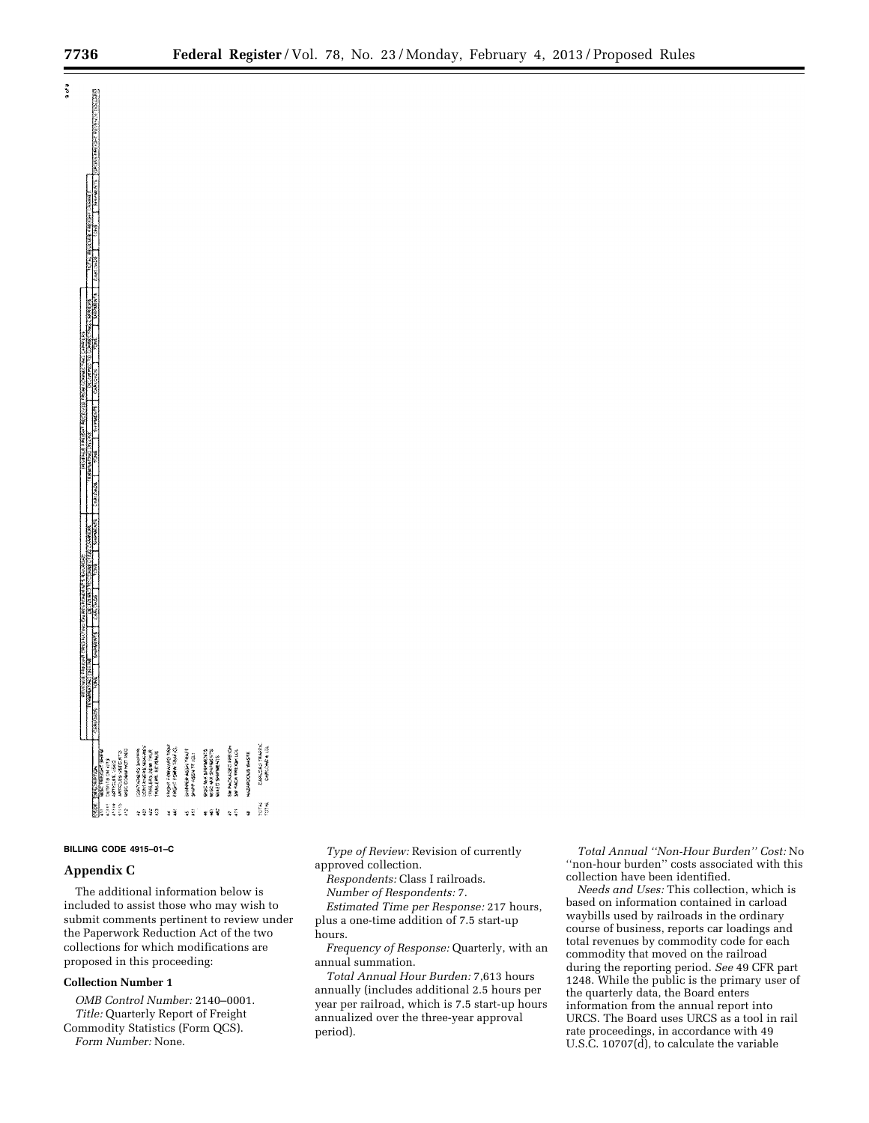**EXEMPT CAR CARRIER CONTRACTOR** 

 $\ddot{\phi}$ 



## **BILLING CODE 4915–01–C**

# **Appendix C**

The additional information below is included to assist those who may wish to submit comments pertinent to review under the Paperwork Reduction Act of the two collections for which modifications are proposed in this proceeding:

# **Collection Number 1**

*OMB Control Number:* 2140–0001. *Title:* Quarterly Report of Freight Commodity Statistics (Form QCS). *Form Number:* None.

*Type of Review:* Revision of currently approved collection.

*Respondents:* Class I railroads.

*Number of Respondents:* 7.

*Estimated Time per Response:* 217 hours, plus a one-time addition of 7.5 start-up hours.

*Frequency of Response:* Quarterly, with an annual summation.

*Total Annual Hour Burden:* 7,613 hours annually (includes additional 2.5 hours per year per railroad, which is 7.5 start-up hours annualized over the three-year approval period).

*Total Annual ''Non-Hour Burden'' Cost:* No ''non-hour burden'' costs associated with this collection have been identified.

*Needs and Uses:* This collection, which is based on information contained in carload waybills used by railroads in the ordinary course of business, reports car loadings and total revenues by commodity code for each commodity that moved on the railroad during the reporting period. *See* 49 CFR part 1248. While the public is the primary user of the quarterly data, the Board enters information from the annual report into URCS. The Board uses URCS as a tool in rail rate proceedings, in accordance with 49 U.S.C. 10707(d), to calculate the variable